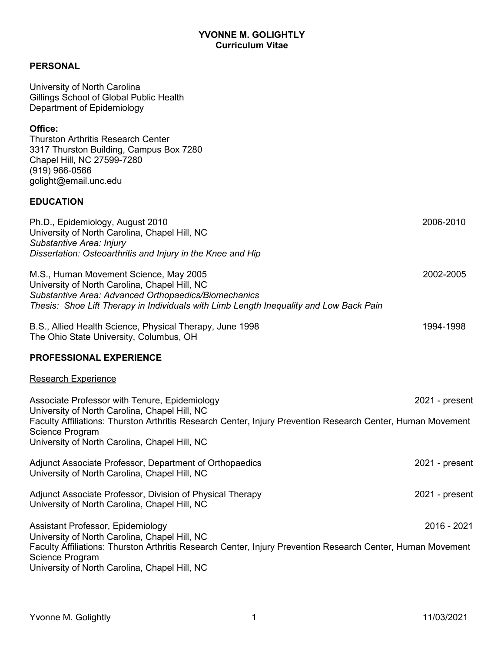## **YVONNE M. GOLIGHTLY Curriculum Vitae**

# **PERSONAL**

| University of North Carolina<br>Gillings School of Global Public Health<br>Department of Epidemiology                                                                                                                                                                             |                |
|-----------------------------------------------------------------------------------------------------------------------------------------------------------------------------------------------------------------------------------------------------------------------------------|----------------|
| Office:<br><b>Thurston Arthritis Research Center</b><br>3317 Thurston Building, Campus Box 7280<br>Chapel Hill, NC 27599-7280<br>$(919)$ 966-0566<br>golight@email.unc.edu                                                                                                        |                |
| <b>EDUCATION</b>                                                                                                                                                                                                                                                                  |                |
| Ph.D., Epidemiology, August 2010<br>University of North Carolina, Chapel Hill, NC<br>Substantive Area: Injury<br>Dissertation: Osteoarthritis and Injury in the Knee and Hip                                                                                                      | 2006-2010      |
| M.S., Human Movement Science, May 2005<br>University of North Carolina, Chapel Hill, NC<br>Substantive Area: Advanced Orthopaedics/Biomechanics<br>Thesis: Shoe Lift Therapy in Individuals with Limb Length Inequality and Low Back Pain                                         | 2002-2005      |
| B.S., Allied Health Science, Physical Therapy, June 1998<br>The Ohio State University, Columbus, OH                                                                                                                                                                               | 1994-1998      |
| <b>PROFESSIONAL EXPERIENCE</b>                                                                                                                                                                                                                                                    |                |
| <b>Research Experience</b>                                                                                                                                                                                                                                                        |                |
| Associate Professor with Tenure, Epidemiology<br>University of North Carolina, Chapel Hill, NC<br>Faculty Affiliations: Thurston Arthritis Research Center, Injury Prevention Research Center, Human Movement<br>Science Program<br>University of North Carolina, Chapel Hill, NC | 2021 - present |
| Adjunct Associate Professor, Department of Orthopaedics<br>University of North Carolina, Chapel Hill, NC                                                                                                                                                                          | 2021 - present |
| Adjunct Associate Professor, Division of Physical Therapy<br>University of North Carolina, Chapel Hill, NC                                                                                                                                                                        | 2021 - present |
| Assistant Professor, Epidemiology<br>University of North Carolina, Chapel Hill, NC<br>Faculty Affiliations: Thurston Arthritis Research Center, Injury Prevention Research Center, Human Movement<br>Science Program<br>University of North Carolina, Chapel Hill, NC             | 2016 - 2021    |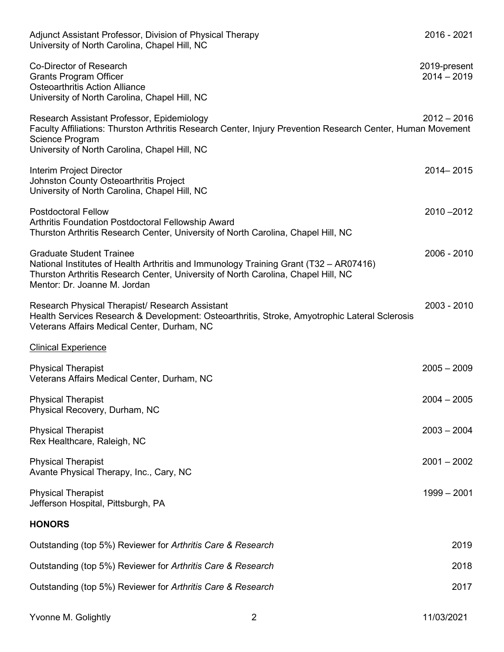| Adjunct Assistant Professor, Division of Physical Therapy<br>University of North Carolina, Chapel Hill, NC                                                                                                                                    | 2016 - 2021                   |
|-----------------------------------------------------------------------------------------------------------------------------------------------------------------------------------------------------------------------------------------------|-------------------------------|
| Co-Director of Research<br><b>Grants Program Officer</b><br><b>Osteoarthritis Action Alliance</b><br>University of North Carolina, Chapel Hill, NC                                                                                            | 2019-present<br>$2014 - 2019$ |
| Research Assistant Professor, Epidemiology<br>Faculty Affiliations: Thurston Arthritis Research Center, Injury Prevention Research Center, Human Movement<br>Science Program<br>University of North Carolina, Chapel Hill, NC                 | $2012 - 2016$                 |
| Interim Project Director<br>Johnston County Osteoarthritis Project<br>University of North Carolina, Chapel Hill, NC                                                                                                                           | 2014 - 2015                   |
| <b>Postdoctoral Fellow</b><br>Arthritis Foundation Postdoctoral Fellowship Award<br>Thurston Arthritis Research Center, University of North Carolina, Chapel Hill, NC                                                                         | $2010 - 2012$                 |
| <b>Graduate Student Trainee</b><br>National Institutes of Health Arthritis and Immunology Training Grant (T32 - AR07416)<br>Thurston Arthritis Research Center, University of North Carolina, Chapel Hill, NC<br>Mentor: Dr. Joanne M. Jordan | 2006 - 2010                   |
| Research Physical Therapist/ Research Assistant<br>Health Services Research & Development: Osteoarthritis, Stroke, Amyotrophic Lateral Sclerosis<br>Veterans Affairs Medical Center, Durham, NC                                               | 2003 - 2010                   |
| <b>Clinical Experience</b>                                                                                                                                                                                                                    |                               |
| <b>Physical Therapist</b><br>Veterans Affairs Medical Center, Durham, NC                                                                                                                                                                      | $2005 - 2009$                 |
| <b>Physical Therapist</b><br>Physical Recovery, Durham, NC                                                                                                                                                                                    | $2004 - 2005$                 |
| <b>Physical Therapist</b><br>Rex Healthcare, Raleigh, NC                                                                                                                                                                                      | $2003 - 2004$                 |
| <b>Physical Therapist</b><br>Avante Physical Therapy, Inc., Cary, NC                                                                                                                                                                          | $2001 - 2002$                 |
| <b>Physical Therapist</b><br>Jefferson Hospital, Pittsburgh, PA                                                                                                                                                                               | $1999 - 2001$                 |
| <b>HONORS</b>                                                                                                                                                                                                                                 |                               |
| Outstanding (top 5%) Reviewer for Arthritis Care & Research                                                                                                                                                                                   | 2019                          |
| Outstanding (top 5%) Reviewer for Arthritis Care & Research                                                                                                                                                                                   | 2018                          |
| Outstanding (top 5%) Reviewer for Arthritis Care & Research                                                                                                                                                                                   | 2017                          |

Yvonne M. Golightly 2 11/03/2021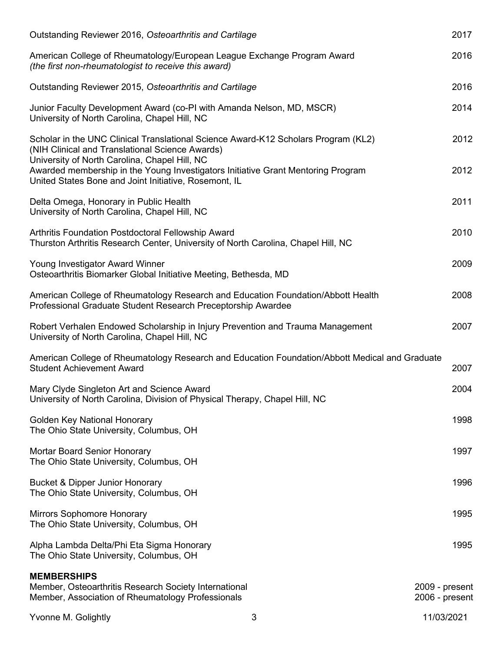| Outstanding Reviewer 2016, Osteoarthritis and Cartilage                                                                                                                                                                                                                    |   | 2017                             |
|----------------------------------------------------------------------------------------------------------------------------------------------------------------------------------------------------------------------------------------------------------------------------|---|----------------------------------|
| American College of Rheumatology/European League Exchange Program Award<br>(the first non-rheumatologist to receive this award)                                                                                                                                            |   | 2016                             |
| Outstanding Reviewer 2015, Osteoarthritis and Cartilage                                                                                                                                                                                                                    |   | 2016                             |
| Junior Faculty Development Award (co-PI with Amanda Nelson, MD, MSCR)<br>University of North Carolina, Chapel Hill, NC                                                                                                                                                     |   | 2014                             |
| Scholar in the UNC Clinical Translational Science Award-K12 Scholars Program (KL2)<br>(NIH Clinical and Translational Science Awards)<br>University of North Carolina, Chapel Hill, NC<br>Awarded membership in the Young Investigators Initiative Grant Mentoring Program |   | 2012<br>2012                     |
| United States Bone and Joint Initiative, Rosemont, IL                                                                                                                                                                                                                      |   |                                  |
| Delta Omega, Honorary in Public Health<br>University of North Carolina, Chapel Hill, NC                                                                                                                                                                                    |   | 2011                             |
| Arthritis Foundation Postdoctoral Fellowship Award<br>Thurston Arthritis Research Center, University of North Carolina, Chapel Hill, NC                                                                                                                                    |   | 2010                             |
| Young Investigator Award Winner<br>Osteoarthritis Biomarker Global Initiative Meeting, Bethesda, MD                                                                                                                                                                        |   | 2009                             |
| American College of Rheumatology Research and Education Foundation/Abbott Health<br>Professional Graduate Student Research Preceptorship Awardee                                                                                                                           |   | 2008                             |
| Robert Verhalen Endowed Scholarship in Injury Prevention and Trauma Management<br>University of North Carolina, Chapel Hill, NC                                                                                                                                            |   | 2007                             |
| American College of Rheumatology Research and Education Foundation/Abbott Medical and Graduate<br><b>Student Achievement Award</b>                                                                                                                                         |   | 2007                             |
| Mary Clyde Singleton Art and Science Award<br>University of North Carolina, Division of Physical Therapy, Chapel Hill, NC                                                                                                                                                  |   | 2004                             |
| <b>Golden Key National Honorary</b><br>The Ohio State University, Columbus, OH                                                                                                                                                                                             |   | 1998                             |
| <b>Mortar Board Senior Honorary</b><br>The Ohio State University, Columbus, OH                                                                                                                                                                                             |   | 1997                             |
| <b>Bucket &amp; Dipper Junior Honorary</b><br>The Ohio State University, Columbus, OH                                                                                                                                                                                      |   | 1996                             |
| Mirrors Sophomore Honorary<br>The Ohio State University, Columbus, OH                                                                                                                                                                                                      |   | 1995                             |
| Alpha Lambda Delta/Phi Eta Sigma Honorary<br>The Ohio State University, Columbus, OH                                                                                                                                                                                       |   | 1995                             |
| <b>MEMBERSHIPS</b><br>Member, Osteoarthritis Research Society International<br>Member, Association of Rheumatology Professionals                                                                                                                                           |   | 2009 - present<br>2006 - present |
| Yvonne M. Golightly                                                                                                                                                                                                                                                        | 3 | 11/03/2021                       |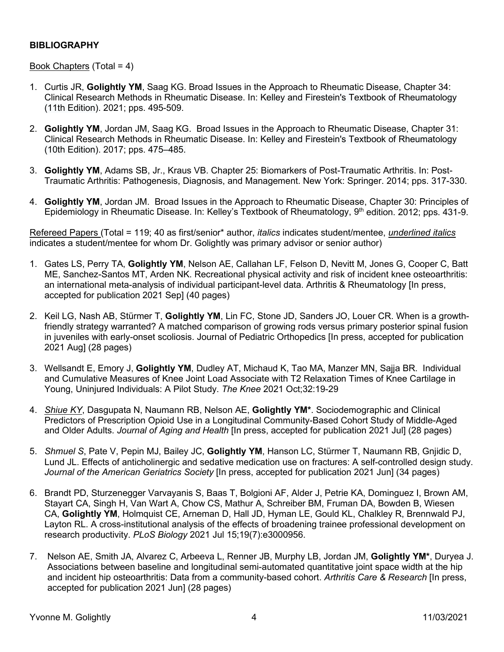### **BIBLIOGRAPHY**

### Book Chapters (Total = 4)

- 1. Curtis JR, **Golightly YM**, Saag KG. Broad Issues in the Approach to Rheumatic Disease, Chapter 34: Clinical Research Methods in Rheumatic Disease. In: Kelley and Firestein's Textbook of [Rheumatology](http://www.sciencedirect.com/science/book/9780323316965) (11th [Edition\).](http://www.sciencedirect.com/science/book/9780323316965) 2021; pps. 495-509.
- 2. **Golightly YM**, Jordan JM, Saag KG. Broad Issues in the Approach to Rheumatic Disease, Chapter 31: Clinical Research Methods in Rheumatic Disease. In: Kelley and Firestein's Textbook of [Rheumatology](http://www.sciencedirect.com/science/book/9780323316965) (10th [Edition\).](http://www.sciencedirect.com/science/book/9780323316965) 2017; pps. 475–485.
- 3. **Golightly YM**, Adams SB, Jr., Kraus VB. Chapter 25: Biomarkers of Post-Traumatic Arthritis. In: Post-Traumatic Arthritis: Pathogenesis, Diagnosis, and Management. New York: Springer. 2014; pps. 317-330.
- 4. **Golightly YM**, Jordan JM. Broad Issues in the Approach to Rheumatic Disease, Chapter 30: Principles of Epidemiology in Rheumatic Disease. In: Kelley's Textbook of Rheumatology, 9<sup>th</sup> edition. 2012; pps. 431-9.

Refereed Papers (Total = 119; 40 as first/senior\* author, *italics* indicates student/mentee, *underlined italics* indicates a student/mentee for whom Dr. Golightly was primary advisor or senior author)

- 1. Gates LS, Perry TA, **Golightly YM**, Nelson AE, Callahan LF, Felson D, Nevitt M, Jones G, Cooper C, Batt ME, Sanchez-Santos MT, Arden NK. Recreational physical activity and risk of incident knee osteoarthritis: an international meta-analysis of individual participant-level data. Arthritis & Rheumatology [In press, accepted for publication 2021 Sep] (40 pages)
- 2. Keil LG, Nash AB, Stürmer T, **Golightly YM**, Lin FC, Stone JD, Sanders JO, Louer CR. When is a growthfriendly strategy warranted? A matched comparison of growing rods versus primary posterior spinal fusion in juveniles with early-onset scoliosis. Journal of Pediatric Orthopedics [In press, accepted for publication 2021 Aug] (28 pages)
- 3. Wellsandt E, Emory J, **Golightly YM**, Dudley AT, Michaud K, Tao MA, Manzer MN, Sajja BR. Individual and Cumulative Measures of Knee Joint Load Associate with T2 Relaxation Times of Knee Cartilage in Young, Uninjured Individuals: A Pilot Study. *The Knee* 2021 Oct;32:19-29
- 4. *Shiue KY*, Dasgupata N, Naumann RB, Nelson AE, **Golightly YM\***. Sociodemographic and Clinical Predictors of Prescription Opioid Use in a Longitudinal Community-Based Cohort Study of Middle-Aged and Older Adults. *Journal of Aging and Health* [In press, accepted for publication 2021 Jul] (28 pages)
- 5. *Shmuel S*, Pate V, Pepin MJ, Bailey JC, **Golightly YM**, Hanson LC, Stürmer T, Naumann RB, Gnjidic D, Lund JL. Effects of anticholinergic and sedative medication use on fractures: A self-controlled design study. *Journal of the American Geriatrics Society* [In press, accepted for publication 2021 Jun] (34 pages)
- 6. Brandt PD, Sturzenegger Varvayanis S, Baas T, Bolgioni AF, Alder J, Petrie KA, Dominguez I, Brown AM, Stayart CA, Singh H, Van Wart A, Chow CS, Mathur A, Schreiber BM, Fruman DA, Bowden B, Wiesen CA, **Golightly YM**, Holmquist CE, Arneman D, Hall JD, Hyman LE, Gould KL, Chalkley R, Brennwald PJ, Layton RL. A cross-institutional analysis of the effects of broadening trainee professional development on research productivity. *PLoS Biology* 2021 Jul 15;19(7):e3000956.
- 7. Nelson AE, Smith JA, Alvarez C, Arbeeva L, Renner JB, Murphy LB, Jordan JM, **Golightly YM\***, Duryea J. Associations between baseline and longitudinal semi-automated quantitative joint space width at the hip and incident hip osteoarthritis: Data from a community-based cohort. *Arthritis Care & Research* [In press, accepted for publication 2021 Jun] (28 pages)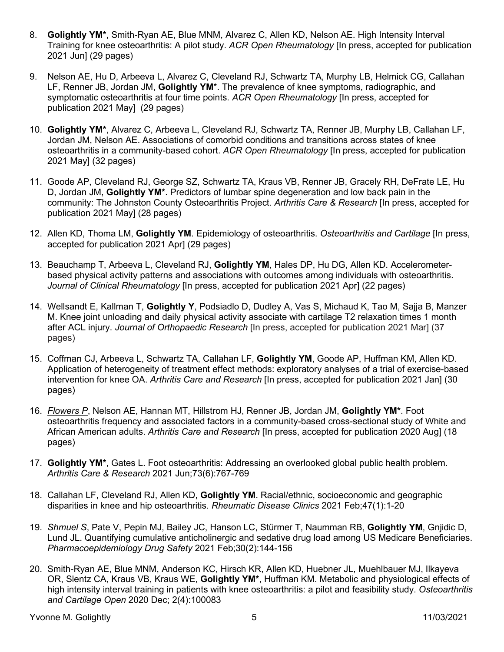- 8. **Golightly YM\***, Smith-Ryan AE, Blue MNM, Alvarez C, Allen KD, Nelson AE. High Intensity Interval Training for knee osteoarthritis: A pilot study. *ACR Open Rheumatology* [In press, accepted for publication 2021 Jun] (29 pages)
- 9. Nelson AE, Hu D, Arbeeva L, Alvarez C, Cleveland RJ, Schwartz TA, Murphy LB, Helmick CG, Callahan LF, Renner JB, Jordan JM, **Golightly YM**\*. The prevalence of knee symptoms, radiographic, and symptomatic osteoarthritis at four time points. *ACR Open Rheumatology* [In press, accepted for publication 2021 May] (29 pages)
- 10. **Golightly YM\***, Alvarez C, Arbeeva L, Cleveland RJ, Schwartz TA, Renner JB, Murphy LB, Callahan LF, Jordan JM, Nelson AE. Associations of comorbid conditions and transitions across states of knee osteoarthritis in a community-based cohort. *ACR Open Rheumatology* [In press, accepted for publication 2021 May] (32 pages)
- 11. Goode AP, Cleveland RJ, George SZ, Schwartz TA, Kraus VB, Renner JB, Gracely RH, DeFrate LE, Hu D, Jordan JM, **Golightly YM\***. Predictors of lumbar spine degeneration and low back pain in the community: The Johnston County Osteoarthritis Project. *Arthritis Care & Research* [In press, accepted for publication 2021 May] (28 pages)
- 12. Allen KD, Thoma LM, **Golightly YM**. Epidemiology of osteoarthritis. *Osteoarthritis and Cartilage* [In press, accepted for publication 2021 Apr] (29 pages)
- 13. Beauchamp T, Arbeeva L, Cleveland RJ, **Golightly YM**, Hales DP, Hu DG, Allen KD. Accelerometerbased physical activity patterns and associations with outcomes among individuals with osteoarthritis. *Journal of Clinical Rheumatology* [In press, accepted for publication 2021 Apr] (22 pages)
- 14. Wellsandt E, Kallman T, **Golightly Y**, Podsiadlo D, Dudley A, Vas S, Michaud K, Tao M, Sajja B, Manzer M. Knee joint unloading and daily physical activity associate with cartilage T2 relaxation times 1 month after ACL injury. *Journal of Orthopaedic Research* [In press, accepted for publication 2021 Mar] (37 pages)
- 15. Coffman CJ, Arbeeva L, Schwartz TA, Callahan LF, **Golightly YM**, Goode AP, Huffman KM, Allen KD. Application of heterogeneity of treatment effect methods: exploratory analyses of a trial of exercise-based intervention for knee OA. *Arthritis Care and Research* [In press, accepted for publication 2021 Jan] (30 pages)
- 16. *Flowers P*, Nelson AE, Hannan MT, Hillstrom HJ, Renner JB, Jordan JM, **Golightly YM\***. Foot osteoarthritis frequency and associated factors in a community-based cross-sectional study of White and African American adults. *Arthritis Care and Research* [In press, accepted for publication 2020 Aug] (18 pages)
- 17. **Golightly YM\***, Gates L. Foot osteoarthritis: Addressing an overlooked global public health problem. *Arthritis Care & Research* 2021 Jun;73(6):767-769
- 18. Callahan LF, Cleveland RJ, Allen KD, **Golightly YM**. Racial/ethnic, socioeconomic and geographic disparities in knee and hip osteoarthritis. *Rheumatic Disease Clinics* 2021 Feb;47(1):1-20
- 19. *Shmuel S*, Pate V, Pepin MJ, Bailey JC, Hanson LC, Stürmer T, Naumman RB, **Golightly YM**, Gnjidic D, Lund JL. Quantifying cumulative anticholinergic and sedative drug load among US Medicare Beneficiaries. *Pharmacoepidemiology Drug Safety* 2021 Feb;30(2):144-156
- 20. Smith-Ryan AE, Blue MNM, Anderson KC, Hirsch KR, Allen KD, Huebner JL, Muehlbauer MJ, Ilkayeva OR, Slentz CA, Kraus VB, Kraus WE, **Golightly YM\***, Huffman KM. Metabolic and physiological effects of high intensity interval training in patients with knee osteoarthritis: a pilot and feasibility study. *Osteoarthritis and Cartilage Open* 2020 Dec; 2(4):100083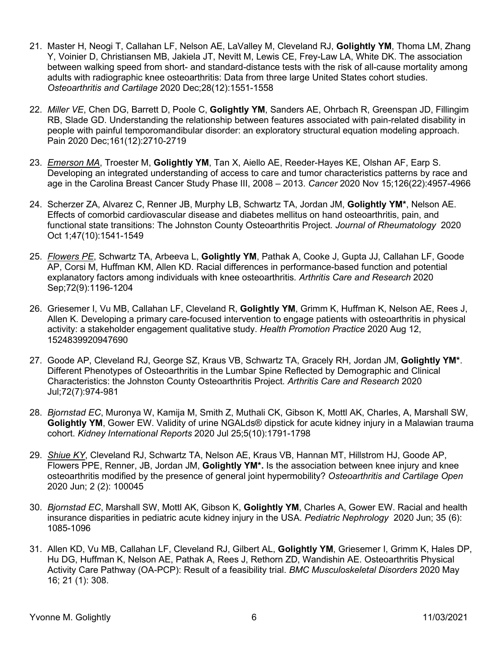- 21. Master H, Neogi T, Callahan LF, Nelson AE, LaValley M, Cleveland RJ, **Golightly YM**, Thoma LM, Zhang Y, Voinier D, Christiansen MB, Jakiela JT, Nevitt M, Lewis CE, Frey-Law LA, White DK. The association between walking speed from short- and standard-distance tests with the risk of all-cause mortality among adults with radiographic knee osteoarthritis: Data from three large United States cohort studies. *Osteoarthritis and Cartilage* 2020 Dec;28(12):1551-1558
- 22. *Miller VE*, Chen DG, Barrett D, Poole C, **Golightly YM**, Sanders AE, Ohrbach R, Greenspan JD, Fillingim RB, Slade GD. Understanding the relationship between features associated with pain-related disability in people with painful temporomandibular disorder: an exploratory structural equation modeling approach. Pain 2020 Dec;161(12):2710-2719
- 23. *Emerson MA*, Troester M, **Golightly YM**, Tan X, Aiello AE, Reeder-Hayes KE, Olshan AF, Earp S. Developing an integrated understanding of access to care and tumor characteristics patterns by race and age in the Carolina Breast Cancer Study Phase III, 2008 – 2013. *Cancer* 2020 Nov 15;126(22):4957-4966
- 24. Scherzer ZA, Alvarez C, Renner JB, Murphy LB, Schwartz TA, Jordan JM, **Golightly YM\***, Nelson AE. Effects of comorbid cardiovascular disease and diabetes mellitus on hand osteoarthritis, pain, and functional state transitions: The Johnston County Osteoarthritis Project. *Journal of Rheumatology* 2020 Oct 1;47(10):1541-1549
- 25. *Flowers PE*, Schwartz TA, Arbeeva L, **Golightly YM**, Pathak A, Cooke J, Gupta JJ, Callahan LF, Goode AP, Corsi M, Huffman KM, Allen KD. Racial differences in performance-based function and potential explanatory factors among individuals with knee osteoarthritis*. Arthritis Care and Research* 2020 Sep;72(9):1196-1204
- 26. Griesemer I, Vu MB, Callahan LF, Cleveland R, **Golightly YM**, Grimm K, Huffman K, Nelson AE, Rees J, Allen K. Developing a primary care-focused intervention to engage patients with osteoarthritis in physical activity: a stakeholder engagement qualitative study. *Health Promotion Practice* 2020 Aug 12, 1524839920947690
- 27. Goode AP, Cleveland RJ, George SZ, Kraus VB, Schwartz TA, Gracely RH, Jordan JM, **Golightly YM\***. Different Phenotypes of Osteoarthritis in the Lumbar Spine Reflected by Demographic and Clinical Characteristics: the Johnston County Osteoarthritis Project. *Arthritis Care and Research* 2020 Jul;72(7):974-981
- 28. *Bjornstad EC*, Muronya W, Kamija M, Smith Z, Muthali CK, Gibson K, Mottl AK, Charles, A, Marshall SW, **Golightly YM**, Gower EW. Validity of urine NGALds® dipstick for acute kidney injury in a Malawian trauma cohort. *Kidney International Reports* 2020 Jul 25;5(10):1791-1798
- 29. *Shiue KY*, Cleveland RJ, Schwartz TA, Nelson AE, Kraus VB, Hannan MT, Hillstrom HJ, Goode AP, Flowers PPE, Renner, JB, Jordan JM, **Golightly YM\*.** Is the association between knee injury and knee osteoarthritis modified by the presence of general joint hypermobility? *Osteoarthritis and Cartilage Open* 2020 Jun; 2 (2): 100045
- 30. *Bjornstad EC*, Marshall SW, Mottl AK, Gibson K, **Golightly YM**, Charles A, Gower EW. Racial and health insurance disparities in pediatric acute kidney injury in the USA. *Pediatric Nephrology* 2020 Jun; 35 (6): 1085-1096
- 31. Allen KD, Vu MB, Callahan LF, Cleveland RJ, Gilbert AL, **Golightly YM**, Griesemer I, Grimm K, Hales DP, Hu DG, Huffman K, Nelson AE, Pathak A, Rees J, Rethorn ZD, Wandishin AE. Osteoarthritis Physical Activity Care Pathway (OA-PCP): Result of a feasibility trial. *BMC Musculoskeletal Disorders* 2020 May 16; 21 (1): 308.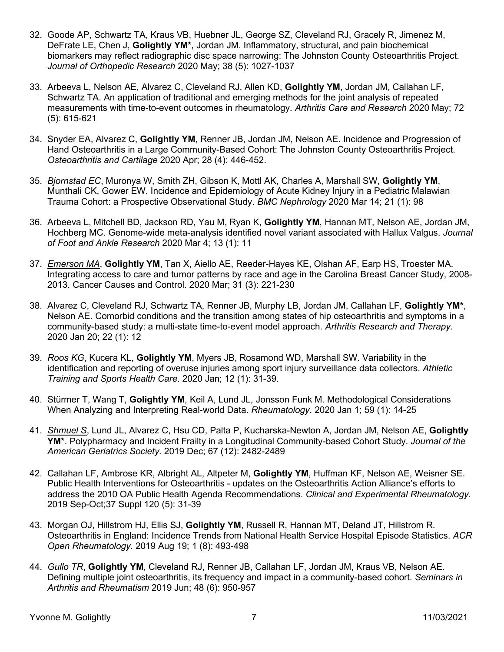- 32. Goode AP, Schwartz TA, Kraus VB, Huebner JL, George SZ, Cleveland RJ, Gracely R, Jimenez M, DeFrate LE, Chen J, **Golightly YM\***, Jordan JM. Inflammatory, structural, and pain biochemical biomarkers may reflect radiographic disc space narrowing: The Johnston County Osteoarthritis Project. *Journal of Orthopedic Research* 2020 May; 38 (5): 1027-1037
- 33. Arbeeva L, Nelson AE, Alvarez C, Cleveland RJ, Allen KD, **Golightly YM**, Jordan JM, Callahan LF, Schwartz TA. An application of traditional and emerging methods for the joint analysis of repeated measurements with time-to-event outcomes in rheumatology. *Arthritis Care and Research* 2020 May; 72 (5): 615-621
- 34. Snyder EA, Alvarez C, **Golightly YM**, Renner JB, Jordan JM, Nelson AE. Incidence and Progression of Hand Osteoarthritis in a Large Community-Based Cohort: The Johnston County Osteoarthritis Project. *Osteoarthritis and Cartilage* 2020 Apr; 28 (4): 446-452.
- 35. *Bjornstad EC*, Muronya W, Smith ZH, Gibson K, Mottl AK, Charles A, Marshall SW, **Golightly YM**, Munthali CK, Gower EW. Incidence and Epidemiology of Acute Kidney Injury in a Pediatric Malawian Trauma Cohort: a Prospective Observational Study. *BMC Nephrology* 2020 Mar 14; 21 (1): 98
- 36. Arbeeva L, Mitchell BD, Jackson RD, Yau M, Ryan K, **Golightly YM**, Hannan MT, Nelson AE, Jordan JM, Hochberg MC. Genome-wide meta-analysis identified novel variant associated with Hallux Valgus. *Journal of Foot and Ankle Research* 2020 Mar 4; 13 (1): 11
- 37. *Emerson MA*, **Golightly YM**, Tan X, Aiello AE, Reeder-Hayes KE, Olshan AF, Earp HS, Troester MA. Integrating access to care and tumor patterns by race and age in the Carolina Breast Cancer Study, 2008- 2013. Cancer Causes and Control. 2020 Mar; 31 (3): 221-230
- 38. Alvarez C, Cleveland RJ, Schwartz TA, Renner JB, Murphy LB, Jordan JM, Callahan LF, **Golightly YM\***, Nelson AE. Comorbid conditions and the transition among states of hip osteoarthritis and symptoms in a community-based study: a multi-state time-to-event model approach. *Arthritis Research and Therapy*. 2020 Jan 20; 22 (1): 12
- 39. *Roos KG*, Kucera KL, **Golightly YM**, Myers JB, Rosamond WD, Marshall SW. Variability in the identification and reporting of overuse injuries among sport injury surveillance data collectors. *Athletic Training and Sports Health Care*. 2020 Jan; 12 (1): 31-39.
- 40. Stürmer T, Wang T, **Golightly YM**, Keil A, Lund JL, Jonsson Funk M. Methodological Considerations When Analyzing and Interpreting Real-world Data. *Rheumatology*. 2020 Jan 1; 59 (1): 14-25
- 41. *Shmuel S*, Lund JL, Alvarez C, Hsu CD, Palta P, Kucharska-Newton A, Jordan JM, Nelson AE, **Golightly YM\***. Polypharmacy and Incident Frailty in a Longitudinal Community-based Cohort Study. *Journal of the American Geriatrics Society.* 2019 Dec; 67 (12): 2482-2489
- 42. Callahan LF, Ambrose KR, Albright AL, Altpeter M, **Golightly YM**, Huffman KF, Nelson AE, Weisner SE. Public Health Interventions for Osteoarthritis - updates on the Osteoarthritis Action Alliance's efforts to address the 2010 OA Public Health Agenda Recommendations. *Clinical and Experimental Rheumatology.* 2019 Sep-Oct;37 Suppl 120 (5): 31-39
- 43. Morgan OJ, Hillstrom HJ, Ellis SJ, **Golightly YM**, Russell R, Hannan MT, Deland JT, Hillstrom R. Osteoarthritis in England: Incidence Trends from National Health Service Hospital Episode Statistics. *ACR Open Rheumatology*. 2019 Aug 19; 1 (8): 493-498
- 44. *Gullo TR*, **Golightly YM**, Cleveland RJ, Renner JB, Callahan LF, Jordan JM, Kraus VB, Nelson AE. Defining multiple joint osteoarthritis, its frequency and impact in a community-based cohort. *Seminars in Arthritis and Rheumatism* 2019 Jun; 48 (6): 950-957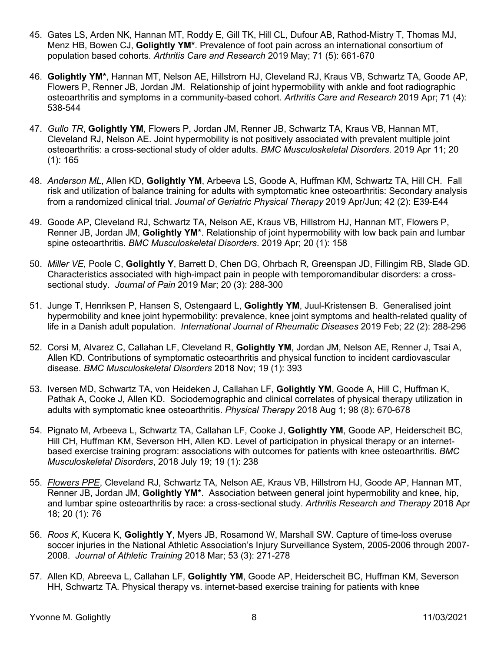- 45. Gates LS, Arden NK, Hannan MT, Roddy E, Gill TK, Hill CL, Dufour AB, Rathod-Mistry T, Thomas MJ, Menz HB, Bowen CJ, **Golightly YM\***. Prevalence of foot pain across an international consortium of population based cohorts. *Arthritis Care and Research* 2019 May; 71 (5): 661-670
- 46. **Golightly YM\***, Hannan MT, Nelson AE, Hillstrom HJ, Cleveland RJ, Kraus VB, Schwartz TA, Goode AP, Flowers P, Renner JB, Jordan JM. Relationship of joint hypermobility with ankle and foot radiographic osteoarthritis and symptoms in a community-based cohort. *Arthritis Care and Research* 2019 Apr; 71 (4): 538-544
- 47. *Gullo TR*, **Golightly YM**, Flowers P, Jordan JM, Renner JB, Schwartz TA, Kraus VB, Hannan MT, Cleveland RJ, Nelson AE. Joint hypermobility is not positively associated with prevalent multiple joint osteoarthritis: a cross-sectional study of older adults. *BMC Musculoskeletal Disorders*. 2019 Apr 11; 20 (1): 165
- 48. *Anderson ML*, Allen KD, **Golightly YM**, Arbeeva LS, Goode A, Huffman KM, Schwartz TA, Hill CH. Fall risk and utilization of balance training for adults with symptomatic knee osteoarthritis: Secondary analysis from a randomized clinical trial. *Journal of Geriatric Physical Therapy* 2019 Apr/Jun; 42 (2): E39-E44
- 49. Goode AP, Cleveland RJ, Schwartz TA, Nelson AE, Kraus VB, Hillstrom HJ, Hannan MT, Flowers P, Renner JB, Jordan JM, **Golightly YM**\*. Relationship of joint hypermobility with low back pain and lumbar spine osteoarthritis. *BMC Musculoskeletal Disorders*. 2019 Apr; 20 (1): 158
- 50. *Miller VE*, Poole C, **Golightly Y**, Barrett D, Chen DG, Ohrbach R, Greenspan JD, Fillingim RB, Slade GD. Characteristics associated with high-impact pain in people with temporomandibular disorders: a crosssectional study. *Journal of Pain* 2019 Mar; 20 (3): 288-300
- 51. Junge T, Henriksen P, Hansen S, Ostengaard L, **Golightly YM**, Juul-Kristensen B. Generalised joint hypermobility and knee joint hypermobility: prevalence, knee joint symptoms and health-related quality of life in a Danish adult population. *International Journal of Rheumatic Diseases* 2019 Feb; 22 (2): 288-296
- 52. Corsi M, Alvarez C, Callahan LF, Cleveland R, **Golightly YM**, Jordan JM, Nelson AE, Renner J, Tsai A, Allen KD. Contributions of symptomatic osteoarthritis and physical function to incident cardiovascular disease. *BMC Musculoskeletal Disorders* 2018 Nov; 19 (1): 393
- 53. Iversen MD, Schwartz TA, von Heideken J, Callahan LF, **Golightly YM**, Goode A, Hill C, Huffman K, Pathak A, Cooke J, Allen KD. Sociodemographic and clinical correlates of physical therapy utilization in adults with symptomatic knee osteoarthritis. *Physical Therapy* 2018 Aug 1; 98 (8): 670-678
- 54. Pignato M, Arbeeva L, Schwartz TA, Callahan LF, Cooke J, **Golightly YM**, Goode AP, Heiderscheit BC, Hill CH, Huffman KM, Severson HH, Allen KD. Level of participation in physical therapy or an internetbased exercise training program: associations with outcomes for patients with knee osteoarthritis. *BMC Musculoskeletal Disorders*, 2018 July 19; 19 (1): 238
- 55. *Flowers PPE*, Cleveland RJ, Schwartz TA, Nelson AE, Kraus VB, Hillstrom HJ, Goode AP, Hannan MT, Renner JB, Jordan JM, **Golightly YM\***. Association between general joint hypermobility and knee, hip, and lumbar spine osteoarthritis by race: a cross-sectional study. *Arthritis Research and Therapy* 2018 Apr 18; 20 (1): 76
- 56. *Roos K*, Kucera K, **Golightly Y**, Myers JB, Rosamond W, Marshall SW. Capture of time-loss overuse soccer injuries in the National Athletic Association's Injury Surveillance System, 2005-2006 through 2007- 2008. *Journal of Athletic Training* 2018 Mar; 53 (3): 271-278
- 57. Allen KD, Abreeva L, Callahan LF, **Golightly YM**, Goode AP, Heiderscheit BC, Huffman KM, Severson HH, Schwartz TA. Physical therapy vs. internet-based exercise training for patients with knee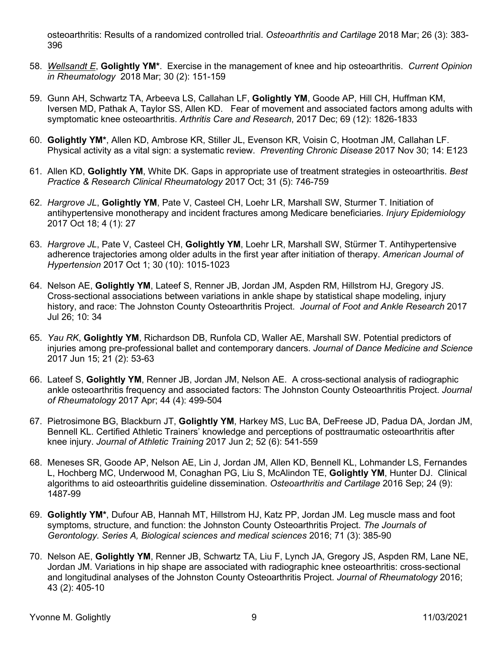osteoarthritis: Results of a randomized controlled trial. *Osteoarthritis and Cartilage* 2018 Mar; 26 (3): 383- 396

- 58. *Wellsandt E*, **Golightly YM\***. Exercise in the management of knee and hip osteoarthritis. *Current Opinion in Rheumatology* 2018 Mar; 30 (2): 151-159
- 59. Gunn AH, Schwartz TA, Arbeeva LS, Callahan LF, **Golightly YM**, Goode AP, Hill CH, Huffman KM, Iversen MD, Pathak A, Taylor SS, Allen KD. Fear of movement and associated factors among adults with symptomatic knee osteoarthritis. *Arthritis Care and Research*, 2017 Dec; 69 (12): 1826-1833
- 60. **Golightly YM\***, Allen KD, Ambrose KR, Stiller JL, Evenson KR, Voisin C, Hootman JM, Callahan LF. Physical activity as a vital sign: a systematic review. *Preventing Chronic Disease* 2017 Nov 30; 14: E123
- 61. Allen KD, **Golightly YM**, White DK. Gaps in appropriate use of treatment strategies in osteoarthritis. *Best Practice & Research Clinical Rheumatology* 2017 Oct; 31 (5): 746-759
- 62. *Hargrove JL*, **Golightly YM**, Pate V, Casteel CH, Loehr LR, Marshall SW, Sturmer T. Initiation of antihypertensive monotherapy and incident fractures among Medicare beneficiaries. *Injury Epidemiology* 2017 Oct 18; 4 (1): 27
- 63. *Hargrove JL*, Pate V, Casteel CH, **Golightly YM**, Loehr LR, Marshall SW, Stürmer T. Antihypertensive adherence trajectories among older adults in the first year after initiation of therapy. *American Journal of Hypertension* 2017 Oct 1; 30 (10): 1015-1023
- 64. Nelson AE, **Golightly YM**, Lateef S, Renner JB, Jordan JM, Aspden RM, Hillstrom HJ, Gregory JS. Cross-sectional associations between variations in ankle shape by statistical shape modeling, injury history, and race: The Johnston County Osteoarthritis Project. *Journal of Foot and Ankle Research* 2017 Jul 26; 10: 34
- 65. *Yau RK*, **Golightly YM**, Richardson DB, Runfola CD, Waller AE, Marshall SW. Potential predictors of injuries among pre-professional ballet and contemporary dancers. *Journal of Dance Medicine and Science* 2017 Jun 15; 21 (2): 53-63
- 66. Lateef S, **Golightly YM**, Renner JB, Jordan JM, Nelson AE. A cross-sectional analysis of radiographic ankle osteoarthritis frequency and associated factors: The Johnston County Osteoarthritis Project. *Journal of Rheumatology* 2017 Apr; 44 (4): 499-504
- 67. Pietrosimone BG, Blackburn JT, **Golightly YM**, Harkey MS, Luc BA, DeFreese JD, Padua DA, Jordan JM, Bennell KL. Certified Athletic Trainers' knowledge and perceptions of posttraumatic osteoarthritis after knee injury. *Journal of Athletic Training* 2017 Jun 2; 52 (6): 541-559
- 68. Meneses SR, Goode AP, Nelson AE, Lin J, Jordan JM, Allen KD, Bennell KL, Lohmander LS, Fernandes L, Hochberg MC, Underwood M, Conaghan PG, Liu S, McAlindon TE, **Golightly YM**, Hunter DJ. Clinical algorithms to aid osteoarthritis guideline dissemination. *Osteoarthritis and Cartilage* 2016 Sep; 24 (9): 1487-99
- 69. **Golightly YM\***, Dufour AB, Hannah MT, Hillstrom HJ, Katz PP, Jordan JM. Leg muscle mass and foot symptoms, structure, and function: the Johnston County Osteoarthritis Project. *The Journals of Gerontology. Series A, Biological sciences and medical sciences* 2016; 71 (3): 385-90
- 70. Nelson AE, **Golightly YM**, Renner JB, Schwartz TA, Liu F, Lynch JA, Gregory JS, Aspden RM, Lane NE, Jordan JM. Variations in hip shape are associated with radiographic knee osteoarthritis: cross-sectional and longitudinal analyses of the Johnston County Osteoarthritis Project. *Journal of Rheumatology* 2016; 43 (2): 405-10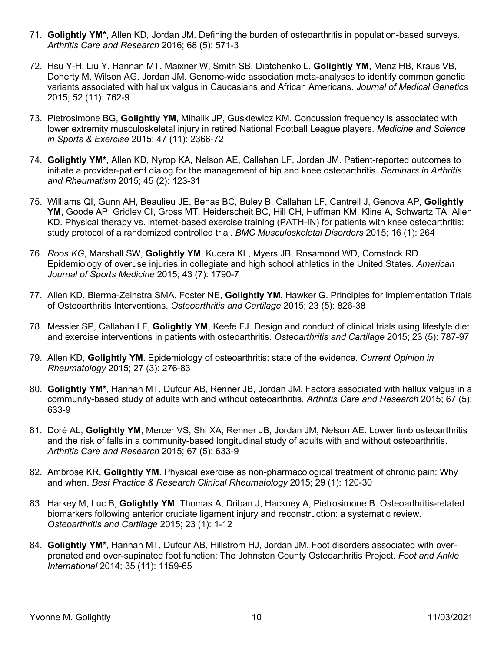- 71. **Golightly YM\***, Allen KD, Jordan JM. Defining the burden of osteoarthritis in population-based surveys. *Arthritis Care and Research* 2016; 68 (5): 571-3
- 72. Hsu Y-H, Liu Y, Hannan MT, Maixner W, Smith SB, Diatchenko L, **Golightly YM**, Menz HB, Kraus VB, Doherty M, Wilson AG, Jordan JM. Genome-wide association meta-analyses to identify common genetic variants associated with hallux valgus in Caucasians and African Americans. *Journal of Medical Genetics* 2015; 52 (11): 762-9
- 73. Pietrosimone BG, **Golightly YM**, Mihalik JP, Guskiewicz KM. Concussion frequency is associated with lower extremity musculoskeletal injury in retired National Football League players. *Medicine and Science in Sports & Exercise* 2015; 47 (11): 2366-72
- 74. **Golightly YM\***, Allen KD, Nyrop KA, Nelson AE, Callahan LF, Jordan JM. Patient-reported outcomes to initiate a provider-patient dialog for the management of hip and knee osteoarthritis. *Seminars in Arthritis and Rheumatism* 2015; 45 (2): 123-31
- 75. Williams QI, Gunn AH, Beaulieu JE, Benas BC, Buley B, Callahan LF, Cantrell J, Genova AP, **Golightly YM**, Goode AP, Gridley CI, Gross MT, Heiderscheit BC, Hill CH, Huffman KM, Kline A, Schwartz TA, Allen KD. Physical therapy vs. internet-based exercise training (PATH-IN) for patients with knee osteoarthritis: study protocol of a randomized controlled trial. *BMC Musculoskeletal Disorders* 2015; 16 (1): 264
- 76. *Roos KG*, Marshall SW, **Golightly YM**, Kucera KL, Myers JB, Rosamond WD, Comstock RD. Epidemiology of overuse injuries in collegiate and high school athletics in the United States. *American Journal of Sports Medicine* 2015; 43 (7): 1790-7
- 77. Allen KD, Bierma-Zeinstra SMA, Foster NE, **Golightly YM**, Hawker G. Principles for Implementation Trials of Osteoarthritis Interventions. *Osteoarthritis and Cartilage* 2015; 23 (5): 826-38
- 78. Messier SP, Callahan LF, **Golightly YM**, Keefe FJ. Design and conduct of clinical trials using lifestyle diet and exercise interventions in patients with osteoarthritis. *Osteoarthritis and Cartilage* 2015; 23 (5): 787-97
- 79. Allen KD, **Golightly YM**. Epidemiology of osteoarthritis: state of the evidence. *Current Opinion in Rheumatology* 2015; 27 (3): 276-83
- 80. **Golightly YM\***, Hannan MT, Dufour AB, Renner JB, Jordan JM. Factors associated with hallux valgus in a community-based study of adults with and without osteoarthritis. *Arthritis Care and Research* 2015; 67 (5): 633-9
- 81. Doré AL, **Golightly YM**, Mercer VS, Shi XA, Renner JB, Jordan JM, Nelson AE. Lower limb osteoarthritis and the risk of falls in a community-based longitudinal study of adults with and without osteoarthritis. *Arthritis Care and Research* 2015; 67 (5): 633-9
- 82. Ambrose KR, **Golightly YM**. Physical exercise as non-pharmacological treatment of chronic pain: Why and when. *Best Practice & Research Clinical Rheumatology* 2015; 29 (1): 120-30
- 83. Harkey M, Luc B, **Golightly YM**, Thomas A, Driban J, Hackney A, Pietrosimone B. Osteoarthritis-related biomarkers following anterior cruciate ligament injury and reconstruction: a systematic review. *Osteoarthritis and Cartilage* 2015; 23 (1): 1-12
- 84. **Golightly YM\***, Hannan MT, Dufour AB, Hillstrom HJ, Jordan JM. Foot disorders associated with overpronated and over-supinated foot function: The Johnston County Osteoarthritis Project. *Foot and Ankle International* 2014; 35 (11): 1159-65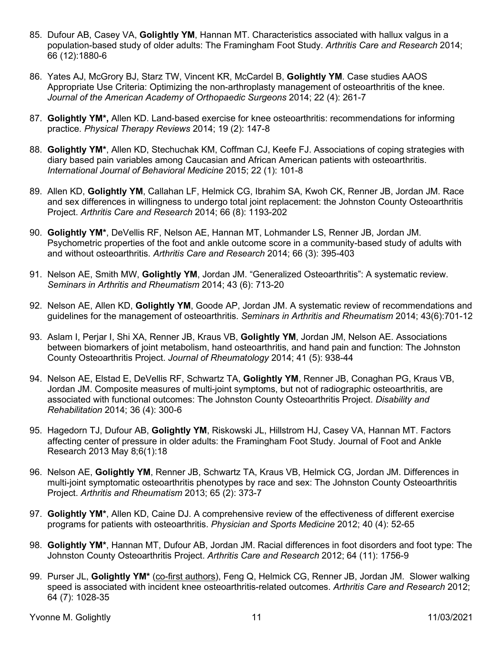- 85. Dufour AB, Casey VA, **Golightly YM**, Hannan MT. Characteristics associated with hallux valgus in a population-based study of older adults: The Framingham Foot Study. *Arthritis Care and Research* 2014; 66 (12):1880-6
- 86. Yates AJ, McGrory BJ, Starz TW, Vincent KR, McCardel B, **Golightly YM**. Case studies AAOS Appropriate Use Criteria: Optimizing the non-arthroplasty management of osteoarthritis of the knee. *Journal of the American Academy of Orthopaedic Surgeons* 2014; 22 (4): 261-7
- 87. **Golightly YM\*,** Allen KD. Land-based exercise for knee osteoarthritis: recommendations for informing practice. *Physical Therapy Reviews* 2014; 19 (2): 147-8
- 88. **Golightly YM\***, Allen KD, Stechuchak KM, Coffman CJ, Keefe FJ. Associations of coping strategies with diary based pain variables among Caucasian and African American patients with osteoarthritis. *International Journal of Behavioral Medicine* 2015; 22 (1): 101-8
- 89. Allen KD, **Golightly YM**, Callahan LF, Helmick CG, Ibrahim SA, Kwoh CK, Renner JB, Jordan JM. Race and sex differences in willingness to undergo total joint replacement: the Johnston County Osteoarthritis Project. *Arthritis Care and Research* 2014; 66 (8): 1193-202
- 90. **Golightly YM\***, DeVellis RF, Nelson AE, Hannan MT, Lohmander LS, Renner JB, Jordan JM. Psychometric properties of the foot and ankle outcome score in a community-based study of adults with and without osteoarthritis. *Arthritis Care and Research* 2014; 66 (3): 395-403
- 91. Nelson AE, Smith MW, **Golightly YM**, Jordan JM. "Generalized Osteoarthritis": A systematic review. *Seminars in Arthritis and Rheumatism* 2014; 43 (6): 713-20
- 92. Nelson AE, Allen KD, **Golightly YM**, Goode AP, Jordan JM. A systematic review of recommendations and guidelines for the management of osteoarthritis. *Seminars in Arthritis and Rheumatism* 2014; 43(6):701-12
- 93. Aslam I, Perjar I, Shi XA, Renner JB, Kraus VB, **Golightly YM**, Jordan JM, Nelson AE. Associations between biomarkers of joint metabolism, hand osteoarthritis, and hand pain and function: The Johnston County Osteoarthritis Project. *Journal of Rheumatology* 2014; 41 (5): 938-44
- 94. Nelson AE, Elstad E, DeVellis RF, Schwartz TA, **Golightly YM**, Renner JB, Conaghan PG, Kraus VB, Jordan JM. Composite measures of multi-joint symptoms, but not of radiographic osteoarthritis, are associated with functional outcomes: The Johnston County Osteoarthritis Project. *Disability and Rehabilitation* 2014; 36 (4): 300-6
- 95. Hagedorn TJ, Dufour AB, **Golightly YM**, Riskowski JL, Hillstrom HJ, Casey VA, Hannan MT. Factors affecting center of pressure in older adults: the Framingham Foot Study. Journal of Foot and Ankle Research 2013 May 8;6(1):18
- 96. Nelson AE, **Golightly YM**, Renner JB, Schwartz TA, Kraus VB, Helmick CG, Jordan JM. Differences in multi-joint symptomatic osteoarthritis phenotypes by race and sex: The Johnston County Osteoarthritis Project. *Arthritis and Rheumatism* 2013; 65 (2): 373-7
- 97. **Golightly YM\***, Allen KD, Caine DJ. A comprehensive review of the effectiveness of different exercise programs for patients with osteoarthritis. *Physician and Sports Medicine* 2012; 40 (4): 52-65
- 98. **Golightly YM\***, Hannan MT, Dufour AB, Jordan JM. Racial differences in foot disorders and foot type: The Johnston County Osteoarthritis Project. *Arthritis Care and Research* 2012; 64 (11): 1756-9
- 99. Purser JL, **Golightly YM\*** (co-first authors), Feng Q, Helmick CG, Renner JB, Jordan JM. Slower walking speed is associated with incident knee osteoarthritis-related outcomes. *Arthritis Care and Research* 2012; 64 (7): 1028-35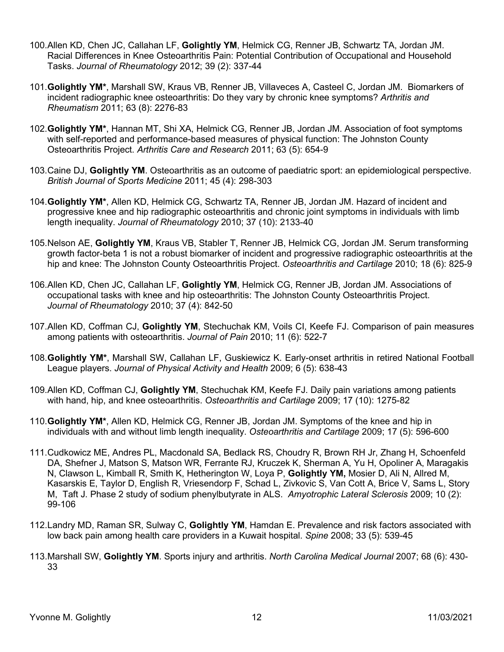- 100.Allen KD, Chen JC, Callahan LF, **Golightly YM**, Helmick CG, Renner JB, Schwartz TA, Jordan JM. Racial Differences in Knee Osteoarthritis Pain: Potential Contribution of Occupational and Household Tasks. *Journal of Rheumatology* 2012; 39 (2): 337-44
- 101.**Golightly YM\***, Marshall SW, Kraus VB, Renner JB, Villaveces A, Casteel C, Jordan JM. Biomarkers of incident radiographic knee osteoarthritis: Do they vary by chronic knee symptoms? *Arthritis and Rheumatism* 2011; 63 (8): 2276-83
- 102.**Golightly YM\***, Hannan MT, Shi XA, Helmick CG, Renner JB, Jordan JM. Association of foot symptoms with self-reported and performance-based measures of physical function: The Johnston County Osteoarthritis Project. *Arthritis Care and Research* 2011; 63 (5): 654-9
- 103.Caine DJ, **Golightly YM**. Osteoarthritis as an outcome of paediatric sport: an epidemiological perspective. *British Journal of Sports Medicine* 2011; 45 (4): 298-303
- 104.**Golightly YM\***, Allen KD, Helmick CG, Schwartz TA, Renner JB, Jordan JM. Hazard of incident and progressive knee and hip radiographic osteoarthritis and chronic joint symptoms in individuals with limb length inequality. *Journal of Rheumatology* 2010; 37 (10): 2133-40
- 105.Nelson AE, **Golightly YM**, Kraus VB, Stabler T, Renner JB, Helmick CG, Jordan JM. Serum transforming growth factor-beta 1 is not a robust biomarker of incident and progressive radiographic osteoarthritis at the hip and knee: The Johnston County Osteoarthritis Project. *Osteoarthritis and Cartilage* 2010; 18 (6): 825-9
- 106.Allen KD, Chen JC, Callahan LF, **Golightly YM**, Helmick CG, Renner JB, Jordan JM. Associations of occupational tasks with knee and hip osteoarthritis: The Johnston County Osteoarthritis Project. *Journal of Rheumatology* 2010; 37 (4): 842-50
- 107.Allen KD, Coffman CJ, **Golightly YM**, Stechuchak KM, Voils CI, Keefe FJ. Comparison of pain measures among patients with osteoarthritis. *Journal of Pain* 2010; 11 (6): 522-7
- 108.**Golightly YM\***, Marshall SW, Callahan LF, Guskiewicz K. Early-onset arthritis in retired National Football League players. *Journal of Physical Activity and Health* 2009; 6 (5): 638-43
- 109.Allen KD, Coffman CJ, **Golightly YM**, Stechuchak KM, Keefe FJ. Daily pain variations among patients with hand, hip, and knee osteoarthritis. *Osteoarthritis and Cartilage* 2009; 17 (10): 1275-82
- 110.**Golightly YM\***, Allen KD, Helmick CG, Renner JB, Jordan JM. Symptoms of the knee and hip in individuals with and without limb length inequality. *Osteoarthritis and Cartilage* 2009; 17 (5): 596-600
- 111.Cudkowicz ME, Andres PL, Macdonald SA, Bedlack RS, Choudry R, Brown RH Jr, Zhang H, Schoenfeld DA, Shefner J, Matson S, Matson WR, Ferrante RJ, Kruczek K, Sherman A, Yu H, Opoliner A, Maragakis N, Clawson L, Kimball R, Smith K, Hetherington W, Loya P, **[Golightly YM](http://www.ncbi.nlm.nih.gov/pubmed?term=%22Golightly%20Y%22),** Mosier D, Ali N, Allred M, Kasarskis E, Taylor D, English R, Vriesendorp F, Schad L, Zivkovic S, Van Cott A, Brice V, Sams L, Story M, Taft J. Phase 2 study of sodium phenylbutyrate in ALS. *Amyotrophic Lateral Sclerosis* 2009; 10 (2): 99-106
- 112.Landry MD, Raman SR, Sulway C, **Golightly YM**, Hamdan E. Prevalence and risk factors associated with low back pain among health care providers in a Kuwait hospital. *Spine* 2008; 33 (5): 539-45
- 113.Marshall SW, **Golightly YM**. Sports injury and arthritis. *North Carolina Medical Journal* 2007; 68 (6): 430- 33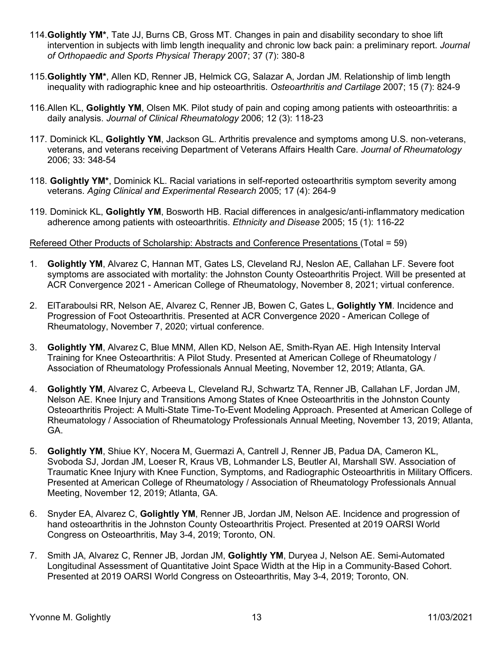- 114.**Golightly YM\***, Tate JJ, Burns CB, Gross MT. Changes in pain and disability secondary to shoe lift intervention in subjects with limb length inequality and chronic low back pain: a preliminary report. *Journal of Orthopaedic and Sports Physical Therapy* 2007; 37 (7): 380-8
- 115.**Golightly YM\***, Allen KD, Renner JB, Helmick CG, Salazar A, Jordan JM. Relationship of limb length inequality with radiographic knee and hip osteoarthritis. *Osteoarthritis and Cartilage* 2007; 15 (7): 824-9
- 116.Allen KL, **Golightly YM**, Olsen MK. Pilot study of pain and coping among patients with osteoarthritis: a daily analysis. *Journal of Clinical Rheumatology* 2006; 12 (3): 118-23
- 117. Dominick KL, **Golightly YM**, Jackson GL. Arthritis prevalence and symptoms among U.S. non-veterans, veterans, and veterans receiving Department of Veterans Affairs Health Care. *Journal of Rheumatology* 2006; 33: 348-54
- 118. **Golightly YM\***, Dominick KL. Racial variations in self-reported osteoarthritis symptom severity among veterans. *Aging Clinical and Experimental Research* 2005; 17 (4): 264-9
- 119. Dominick KL, **Golightly YM**, Bosworth HB. Racial differences in analgesic/anti-inflammatory medication adherence among patients with osteoarthritis. *Ethnicity and Disease* 2005; 15 (1): 116-22

Refereed Other Products of Scholarship: Abstracts and Conference Presentations (Total = 59)

- 1. **Golightly YM**, Alvarez C, Hannan MT, Gates LS, Cleveland RJ, Neslon AE, Callahan LF. Severe foot symptoms are associated with mortality: the Johnston County Osteoarthritis Project. Will be presented at ACR Convergence 2021 - American College of Rheumatology, November 8, 2021; virtual conference.
- 2. ElTaraboulsi RR, Nelson AE, Alvarez C, Renner JB, Bowen C, Gates L, **Golightly YM**. Incidence and Progression of Foot Osteoarthritis. Presented at ACR Convergence 2020 - American College of Rheumatology, November 7, 2020; virtual conference.
- 3. **Golightly YM**, Alvarez C, Blue MNM, Allen KD, Nelson AE, Smith-Ryan AE. High Intensity Interval Training for Knee Osteoarthritis: A Pilot Study. Presented at American College of Rheumatology / Association of Rheumatology Professionals Annual Meeting, November 12, 2019; Atlanta, GA.
- 4. **Golightly YM**, Alvarez C, Arbeeva L, Cleveland RJ, Schwartz TA, Renner JB, Callahan LF, Jordan JM, Nelson AE. Knee Injury and Transitions Among States of Knee Osteoarthritis in the Johnston County Osteoarthritis Project: A Multi-State Time-To-Event Modeling Approach. Presented at American College of Rheumatology / Association of Rheumatology Professionals Annual Meeting, November 13, 2019; Atlanta, GA.
- 5. **Golightly YM**, Shiue KY, Nocera M, Guermazi A, Cantrell J, Renner JB, Padua DA, Cameron KL, Svoboda SJ, Jordan JM, Loeser R, Kraus VB, Lohmander LS, Beutler AI, Marshall SW. Association of Traumatic Knee Injury with Knee Function, Symptoms, and Radiographic Osteoarthritis in Military Officers. Presented at American College of Rheumatology / Association of Rheumatology Professionals Annual Meeting, November 12, 2019; Atlanta, GA.
- 6. Snyder EA, Alvarez C, **Golightly YM**, Renner JB, Jordan JM, Nelson AE. Incidence and progression of hand osteoarthritis in the Johnston County Osteoarthritis Project. Presented at 2019 OARSI World Congress on Osteoarthritis, May 3-4, 2019; Toronto, ON.
- 7. Smith JA, Alvarez C, Renner JB, Jordan JM, **Golightly YM**, Duryea J, Nelson AE. Semi-Automated Longitudinal Assessment of Quantitative Joint Space Width at the Hip in a Community-Based Cohort. Presented at 2019 OARSI World Congress on Osteoarthritis, May 3-4, 2019; Toronto, ON.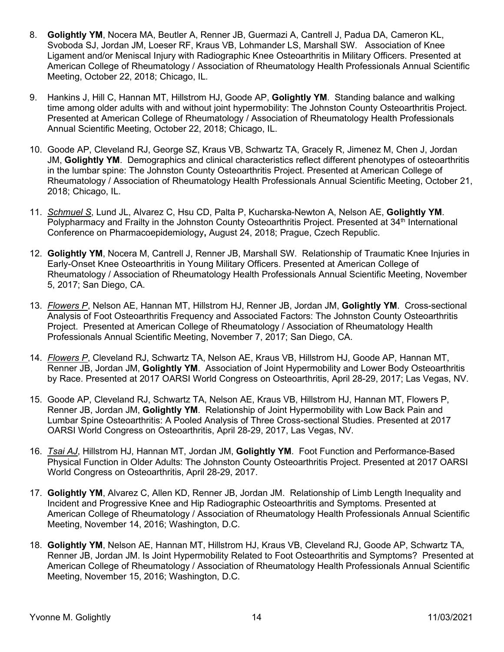- 8. **Golightly YM**, Nocera MA, Beutler A, Renner JB, Guermazi A, Cantrell J, Padua DA, Cameron KL, Svoboda SJ, Jordan JM, Loeser RF, Kraus VB, Lohmander LS, Marshall SW. Association of Knee Ligament and/or Meniscal Injury with Radiographic Knee Osteoarthritis in Military Officers. Presented at American College of Rheumatology / Association of Rheumatology Health Professionals Annual Scientific Meeting, October 22, 2018; Chicago, IL.
- 9. Hankins J, Hill C, Hannan MT, Hillstrom HJ, Goode AP, **Golightly YM**. Standing balance and walking time among older adults with and without joint hypermobility: The Johnston County Osteoarthritis Project. Presented at American College of Rheumatology / Association of Rheumatology Health Professionals Annual Scientific Meeting, October 22, 2018; Chicago, IL.
- 10. Goode AP, Cleveland RJ, George SZ, Kraus VB, Schwartz TA, Gracely R, Jimenez M, Chen J, Jordan JM, **Golightly YM**. Demographics and clinical characteristics reflect different phenotypes of osteoarthritis in the lumbar spine: The Johnston County Osteoarthritis Project. Presented at American College of Rheumatology / Association of Rheumatology Health Professionals Annual Scientific Meeting, October 21, 2018; Chicago, IL.
- 11. *Schmuel S*, Lund JL, Alvarez C, Hsu CD, Palta P, Kucharska-Newton A, Nelson AE, **Golightly YM**. Polypharmacy and Frailty in the Johnston County Osteoarthritis Project. Presented at 34<sup>th</sup> International Conference on Pharmacoepidemiology**,** August 24, 2018; Prague, Czech Republic.
- 12. **Golightly YM**, Nocera M, Cantrell J, Renner JB, Marshall SW. Relationship of Traumatic Knee Injuries in Early-Onset Knee Osteoarthritis in Young Military Officers. Presented at American College of Rheumatology / Association of Rheumatology Health Professionals Annual Scientific Meeting, November 5, 2017; San Diego, CA.
- 13. *Flowers P*, Nelson AE, Hannan MT, Hillstrom HJ, Renner JB, Jordan JM, **Golightly YM**. Cross-sectional Analysis of Foot Osteoarthritis Frequency and Associated Factors: The Johnston County Osteoarthritis Project. Presented at American College of Rheumatology / Association of Rheumatology Health Professionals Annual Scientific Meeting, November 7, 2017; San Diego, CA.
- 14. *Flowers P*, Cleveland RJ, Schwartz TA, Nelson AE, Kraus VB, Hillstrom HJ, Goode AP, Hannan MT, Renner JB, Jordan JM, **Golightly YM**. Association of Joint Hypermobility and Lower Body Osteoarthritis by Race. Presented at 2017 OARSI World Congress on Osteoarthritis, April 28-29, 2017; Las Vegas, NV.
- 15. Goode AP, Cleveland RJ, Schwartz TA, Nelson AE, Kraus VB, Hillstrom HJ, Hannan MT, Flowers P, Renner JB, Jordan JM, **Golightly YM**. Relationship of Joint Hypermobility with Low Back Pain and Lumbar Spine Osteoarthritis: A Pooled Analysis of Three Cross-sectional Studies. Presented at 2017 OARSI World Congress on Osteoarthritis, April 28-29, 2017, Las Vegas, NV.
- 16. *Tsai AJ*, Hillstrom HJ, Hannan MT, Jordan JM, **Golightly YM**. Foot Function and Performance-Based Physical Function in Older Adults: The Johnston County Osteoarthritis Project. Presented at 2017 OARSI World Congress on Osteoarthritis, April 28-29, 2017.
- 17. **Golightly YM**, Alvarez C, Allen KD, Renner JB, Jordan JM. Relationship of Limb Length Inequality and Incident and Progressive Knee and Hip Radiographic Osteoarthritis and Symptoms. Presented at American College of Rheumatology / Association of Rheumatology Health Professionals Annual Scientific Meeting, November 14, 2016; Washington, D.C.
- 18. **Golightly YM**, Nelson AE, Hannan MT, Hillstrom HJ, Kraus VB, Cleveland RJ, Goode AP, Schwartz TA, Renner JB, Jordan JM. Is Joint Hypermobility Related to Foot Osteoarthritis and Symptoms? Presented at American College of Rheumatology / Association of Rheumatology Health Professionals Annual Scientific Meeting, November 15, 2016; Washington, D.C.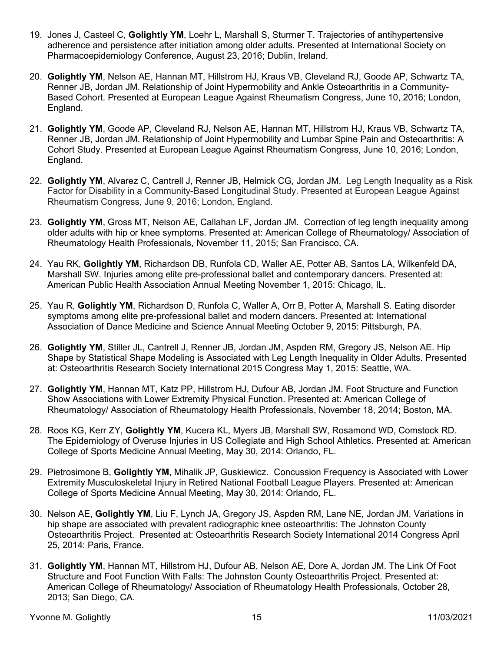- 19. Jones J, Casteel C, **Golightly YM**, Loehr L, Marshall S, Sturmer T. Trajectories of antihypertensive adherence and persistence after initiation among older adults. Presented at International Society on Pharmacoepidemiology Conference, August 23, 2016; Dublin, Ireland.
- 20. **Golightly YM**, Nelson AE, Hannan MT, Hillstrom HJ, Kraus VB, Cleveland RJ, Goode AP, Schwartz TA, Renner JB, Jordan JM. Relationship of Joint Hypermobility and Ankle Osteoarthritis in a Community-Based Cohort. Presented at European League Against Rheumatism Congress, June 10, 2016; London, England.
- 21. **Golightly YM**, Goode AP, Cleveland RJ, Nelson AE, Hannan MT, Hillstrom HJ, Kraus VB, Schwartz TA, Renner JB, Jordan JM. Relationship of Joint Hypermobility and Lumbar Spine Pain and Osteoarthritis: A Cohort Study. Presented at European League Against Rheumatism Congress, June 10, 2016; London, England.
- 22. **Golightly YM**, Alvarez C, Cantrell J, Renner JB, Helmick CG, Jordan JM. Leg Length Inequality as a Risk Factor for Disability in a Community-Based Longitudinal Study. Presented at European League Against Rheumatism Congress, June 9, 2016; London, England.
- 23. **Golightly YM**, Gross MT, Nelson AE, Callahan LF, Jordan JM. Correction of leg length inequality among older adults with hip or knee symptoms. Presented at: American College of Rheumatology/ Association of Rheumatology Health Professionals, November 11, 2015; San Francisco, CA.
- 24. Yau RK, **Golightly YM**, Richardson DB, Runfola CD, Waller AE, Potter AB, Santos LA, Wilkenfeld DA, Marshall SW. Injuries among elite pre-professional ballet and contemporary dancers. Presented at: American Public Health Association Annual Meeting November 1, 2015: Chicago, IL.
- 25. Yau R, **Golightly YM**, Richardson D, Runfola C, Waller A, Orr B, Potter A, Marshall S. Eating disorder symptoms among elite pre-professional ballet and modern dancers. Presented at: International Association of Dance Medicine and Science Annual Meeting October 9, 2015: Pittsburgh, PA.
- 26. **Golightly YM**, Stiller JL, Cantrell J, Renner JB, Jordan JM, Aspden RM, Gregory JS, Nelson AE. Hip Shape by Statistical Shape Modeling is Associated with Leg Length Inequality in Older Adults. Presented at: Osteoarthritis Research Society International 2015 Congress May 1, 2015: Seattle, WA.
- 27. **Golightly YM**, Hannan MT, Katz PP, Hillstrom HJ, Dufour AB, Jordan JM. Foot Structure and Function Show Associations with Lower Extremity Physical Function. Presented at: American College of Rheumatology/ Association of Rheumatology Health Professionals, November 18, 2014; Boston, MA.
- 28. Roos KG, Kerr ZY, **Golightly YM**, Kucera KL, Myers JB, Marshall SW, Rosamond WD, Comstock RD. The Epidemiology of Overuse Injuries in US Collegiate and High School Athletics. Presented at: American College of Sports Medicine Annual Meeting, May 30, 2014: Orlando, FL.
- 29. Pietrosimone B, **Golightly YM**, Mihalik JP, Guskiewicz. Concussion Frequency is Associated with Lower Extremity Musculoskeletal Injury in Retired National Football League Players. Presented at: American College of Sports Medicine Annual Meeting, May 30, 2014: Orlando, FL.
- 30. Nelson AE, **Golightly YM**, Liu F, Lynch JA, Gregory JS, Aspden RM, Lane NE, Jordan JM. Variations in hip shape are associated with prevalent radiographic knee osteoarthritis: The Johnston County Osteoarthritis Project. Presented at: Osteoarthritis Research Society International 2014 Congress April 25, 2014: Paris, France.
- 31. **Golightly YM**, Hannan MT, Hillstrom HJ, Dufour AB, Nelson AE, Dore A, Jordan JM. The Link Of Foot Structure and Foot Function With Falls: The Johnston County Osteoarthritis Project. Presented at: American College of Rheumatology/ Association of Rheumatology Health Professionals, October 28, 2013; San Diego, CA.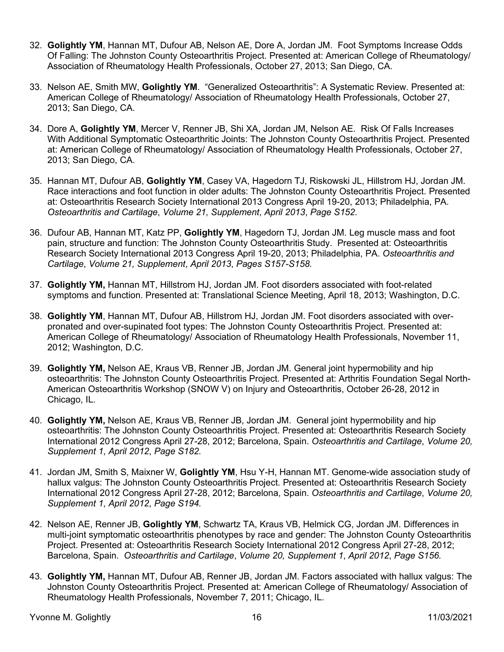- 32. **Golightly YM**, Hannan MT, Dufour AB, Nelson AE, Dore A, Jordan JM. Foot Symptoms Increase Odds Of Falling: The Johnston County Osteoarthritis Project. Presented at: American College of Rheumatology/ Association of Rheumatology Health Professionals, October 27, 2013; San Diego, CA.
- 33. Nelson AE, Smith MW, **Golightly YM**. "Generalized Osteoarthritis": A Systematic Review. Presented at: American College of Rheumatology/ Association of Rheumatology Health Professionals, October 27, 2013; San Diego, CA.
- 34. Dore A, **Golightly YM**, Mercer V, Renner JB, Shi XA, Jordan JM, Nelson AE. Risk Of Falls Increases With Additional Symptomatic Osteoarthritic Joints: The Johnston County Osteoarthritis Project. Presented at: American College of Rheumatology/ Association of Rheumatology Health Professionals, October 27, 2013; San Diego, CA.
- 35. Hannan MT, Dufour AB, **Golightly YM**, Casey VA, Hagedorn TJ, Riskowski JL, Hillstrom HJ, Jordan JM. Race interactions and foot function in older adults: The Johnston County Osteoarthritis Project. Presented at: Osteoarthritis Research Society International 2013 Congress April 19-20, 2013; Philadelphia, PA. *Osteoarthritis and Cartilage*, *Volume 21, Supplement*, *April 2013*, *Page S152.*
- 36. Dufour AB, Hannan MT, Katz PP, **Golightly YM**, Hagedorn TJ, Jordan JM. Leg muscle mass and foot pain, structure and function: The Johnston County Osteoarthritis Study. Presented at: Osteoarthritis Research Society International 2013 Congress April 19-20, 2013; Philadelphia, PA. *Osteoarthritis and Cartilage*, *Volume 21, Supplement*, *April 2013*, *Pages S157-S158.*
- 37. **Golightly YM,** Hannan MT, Hillstrom HJ, Jordan JM. Foot disorders associated with foot-related symptoms and function. Presented at: Translational Science Meeting, April 18, 2013; Washington, D.C.
- 38. **Golightly YM**, Hannan MT, Dufour AB, Hillstrom HJ, Jordan JM. Foot disorders associated with overpronated and over-supinated foot types: The Johnston County Osteoarthritis Project. Presented at: American College of Rheumatology/ Association of Rheumatology Health Professionals, November 11, 2012; Washington, D.C.
- 39. **Golightly YM,** Nelson AE, Kraus VB, Renner JB, Jordan JM. General joint hypermobility and hip osteoarthritis: The Johnston County Osteoarthritis Project. Presented at: Arthritis Foundation Segal North-American Osteoarthritis Workshop (SNOW V) on Injury and Osteoarthritis, October 26-28, 2012 in Chicago, IL.
- 40. **Golightly YM,** Nelson AE, Kraus VB, Renner JB, Jordan JM. General joint hypermobility and hip osteoarthritis: The Johnston County Osteoarthritis Project. Presented at: Osteoarthritis Research Society International 2012 Congress April 27-28, 2012; Barcelona, Spain. *Osteoarthritis and Cartilage*, *Volume 20, Supplement 1*, *April 2012*, *Page S182.*
- 41. Jordan JM, Smith S, Maixner W, **Golightly YM**, Hsu Y-H, Hannan MT. Genome-wide association study of hallux valgus: The Johnston County Osteoarthritis Project. Presented at: Osteoarthritis Research Society International 2012 Congress April 27-28, 2012; Barcelona, Spain. *Osteoarthritis and Cartilage*, *Volume 20, Supplement 1*, *April 2012*, *Page S194.*
- 42. Nelson AE, Renner JB, **Golightly YM**, Schwartz TA, Kraus VB, Helmick CG, Jordan JM. Differences in multi-joint symptomatic osteoarthritis phenotypes by race and gender: The Johnston County Osteoarthritis Project. Presented at: Osteoarthritis Research Society International 2012 Congress April 27-28, 2012; Barcelona, Spain. *Osteoarthritis and Cartilage*, *Volume 20, Supplement 1*, *April 2012*, *Page S156.*
- 43. **Golightly YM,** Hannan MT, Dufour AB, Renner JB, Jordan JM. Factors associated with hallux valgus: The Johnston County Osteoarthritis Project. Presented at: American College of Rheumatology/ Association of Rheumatology Health Professionals, November 7, 2011; Chicago, IL.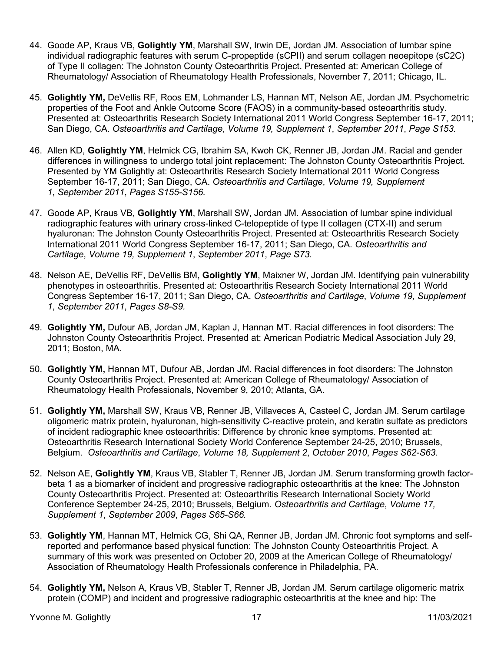- 44. Goode AP, Kraus VB, **Golightly YM**, Marshall SW, Irwin DE, Jordan JM. Association of lumbar spine individual radiographic features with serum C-propeptide (sCPII) and serum collagen neoepitope (sC2C) of Type II collagen: The Johnston County Osteoarthritis Project. Presented at: American College of Rheumatology/ Association of Rheumatology Health Professionals, November 7, 2011; Chicago, IL.
- 45. **Golightly YM,** DeVellis RF, Roos EM, Lohmander LS, Hannan MT, Nelson AE, Jordan JM. Psychometric properties of the Foot and Ankle Outcome Score (FAOS) in a community-based osteoarthritis study. Presented at: Osteoarthritis Research Society International 2011 World Congress September 16-17, 2011; San Diego, CA. *Osteoarthritis and Cartilage*, *Volume 19, Supplement 1*, *September 2011*, *Page S153.*
- 46. Allen KD, **Golightly YM**, Helmick CG, Ibrahim SA, Kwoh CK, Renner JB, Jordan JM. Racial and gender differences in willingness to undergo total joint replacement: The Johnston County Osteoarthritis Project. Presented by YM Golightly at: Osteoarthritis Research Society International 2011 World Congress September 16-17, 2011; San Diego, CA. *Osteoarthritis and Cartilage*, *Volume 19, Supplement 1*, *September 2011*, *Pages S155-S156.*
- 47. Goode AP, Kraus VB, **Golightly YM**, Marshall SW, Jordan JM. Association of lumbar spine individual radiographic features with urinary cross-linked C-telopeptide of type II collagen (CTX-II) and serum hyaluronan: The Johnston County Osteoarthritis Project. Presented at: Osteoarthritis Research Society International 2011 World Congress September 16-17, 2011; San Diego, CA. *Osteoarthritis and Cartilage*, *Volume 19, Supplement 1*, *September 2011*, *Page S73.*
- 48. Nelson AE, DeVellis RF, DeVellis BM, **Golightly YM**, Maixner W, Jordan JM. Identifying pain vulnerability phenotypes in osteoarthritis. Presented at: Osteoarthritis Research Society International 2011 World Congress September 16-17, 2011; San Diego, CA. *Osteoarthritis and Cartilage*, *Volume 19, Supplement 1*, *September 2011*, *Pages S8-S9.*
- 49. **Golightly YM,** Dufour AB, Jordan JM, Kaplan J, Hannan MT. Racial differences in foot disorders: The Johnston County Osteoarthritis Project. Presented at: American Podiatric Medical Association July 29, 2011; Boston, MA.
- 50. **Golightly YM,** Hannan MT, Dufour AB, Jordan JM. Racial differences in foot disorders: The Johnston County Osteoarthritis Project. Presented at: American College of Rheumatology/ Association of Rheumatology Health Professionals, November 9, 2010; Atlanta, GA.
- 51. **Golightly YM,** Marshall SW, Kraus VB, Renner JB, Villaveces A, Casteel C, Jordan JM. Serum cartilage oligomeric matrix protein, hyaluronan, high-sensitivity C-reactive protein, and keratin sulfate as predictors of incident radiographic knee osteoarthritis: Difference by chronic knee symptoms. Presented at: Osteoarthritis Research International Society World Conference September 24-25, 2010; Brussels, Belgium. *Osteoarthritis and Cartilage*, *Volume 18, Supplement 2*, *October 2010*, *Pages S62-S63.*
- 52. Nelson AE, **Golightly YM**, Kraus VB, Stabler T, Renner JB, Jordan JM. Serum transforming growth factorbeta 1 as a biomarker of incident and progressive radiographic osteoarthritis at the knee: The Johnston County Osteoarthritis Project. Presented at: Osteoarthritis Research International Society World Conference September 24-25, 2010; Brussels, Belgium. *Osteoarthritis and Cartilage*, *Volume 17, Supplement 1*, *September 2009*, *Pages S65-S66.*
- 53. **Golightly YM**, Hannan MT, Helmick CG, Shi QA, Renner JB, Jordan JM. Chronic foot symptoms and selfreported and performance based physical function: The Johnston County Osteoarthritis Project. A summary of this work was presented on October 20, 2009 at the American College of Rheumatology/ Association of Rheumatology Health Professionals conference in Philadelphia, PA.
- 54. **Golightly YM,** Nelson A, Kraus VB, Stabler T, Renner JB, Jordan JM. Serum cartilage oligomeric matrix protein (COMP) and incident and progressive radiographic osteoarthritis at the knee and hip: The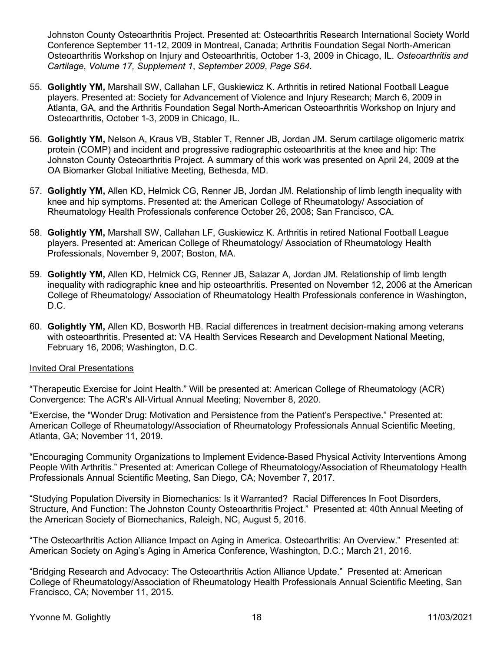Johnston County Osteoarthritis Project. Presented at: Osteoarthritis Research International Society World Conference September 11-12, 2009 in Montreal, Canada; Arthritis Foundation Segal North-American Osteoarthritis Workshop on Injury and Osteoarthritis, October 1-3, 2009 in Chicago, IL. *Osteoarthritis and Cartilage*, *Volume 17, Supplement 1*, *September 2009*, *Page S64.*

- 55. **Golightly YM,** Marshall SW, Callahan LF, Guskiewicz K. Arthritis in retired National Football League players. Presented at: Society for Advancement of Violence and Injury Research; March 6, 2009 in Atlanta, GA, and the Arthritis Foundation Segal North-American Osteoarthritis Workshop on Injury and Osteoarthritis, October 1-3, 2009 in Chicago, IL.
- 56. **Golightly YM,** Nelson A, Kraus VB, Stabler T, Renner JB, Jordan JM. Serum cartilage oligomeric matrix protein (COMP) and incident and progressive radiographic osteoarthritis at the knee and hip: The Johnston County Osteoarthritis Project. A summary of this work was presented on April 24, 2009 at the OA Biomarker Global Initiative Meeting, Bethesda, MD.
- 57. **Golightly YM,** Allen KD, Helmick CG, Renner JB, Jordan JM. Relationship of limb length inequality with knee and hip symptoms. Presented at: the American College of Rheumatology/ Association of Rheumatology Health Professionals conference October 26, 2008; San Francisco, CA.
- 58. **Golightly YM,** Marshall SW, Callahan LF, Guskiewicz K. Arthritis in retired National Football League players. Presented at: American College of Rheumatology/ Association of Rheumatology Health Professionals, November 9, 2007; Boston, MA.
- 59. **Golightly YM,** Allen KD, Helmick CG, Renner JB, Salazar A, Jordan JM. Relationship of limb length inequality with radiographic knee and hip osteoarthritis. Presented on November 12, 2006 at the American College of Rheumatology/ Association of Rheumatology Health Professionals conference in Washington, D.C.
- 60. **Golightly YM,** Allen KD, Bosworth HB. Racial differences in treatment decision-making among veterans with osteoarthritis. Presented at: VA Health Services Research and Development National Meeting, February 16, 2006; Washington, D.C.

#### Invited Oral Presentations

"Therapeutic Exercise for Joint Health." Will be presented at: American College of Rheumatology (ACR) Convergence: The ACR's All-Virtual Annual Meeting; November 8, 2020.

"Exercise, the "Wonder Drug: Motivation and Persistence from the Patient's Perspective." Presented at: American College of Rheumatology/Association of Rheumatology Professionals Annual Scientific Meeting, Atlanta, GA; November 11, 2019.

"Encouraging Community Organizations to Implement Evidence‐Based Physical Activity Interventions Among People With Arthritis." Presented at: American College of Rheumatology/Association of Rheumatology Health Professionals Annual Scientific Meeting, San Diego, CA; November 7, 2017.

"Studying Population Diversity in Biomechanics: Is it Warranted? Racial Differences In Foot Disorders, Structure, And Function: The Johnston County Osteoarthritis Project." Presented at: 40th Annual Meeting of the American Society of Biomechanics, Raleigh, NC, August 5, 2016.

"The Osteoarthritis Action Alliance Impact on Aging in America. Osteoarthritis: An Overview." Presented at: American Society on Aging's Aging in America Conference, Washington, D.C.; March 21, 2016.

"Bridging Research and Advocacy: The Osteoarthritis Action Alliance Update." Presented at: American College of Rheumatology/Association of Rheumatology Health Professionals Annual Scientific Meeting, San Francisco, CA; November 11, 2015.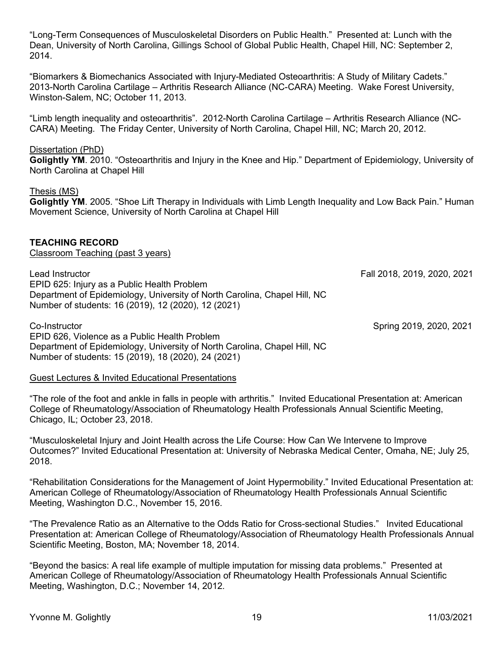"Long-Term Consequences of Musculoskeletal Disorders on Public Health." Presented at: Lunch with the Dean, University of North Carolina, Gillings School of Global Public Health, Chapel Hill, NC: September 2, 2014.

"Biomarkers & Biomechanics Associated with Injury-Mediated Osteoarthritis: A Study of Military Cadets." 2013-North Carolina Cartilage – Arthritis Research Alliance (NC-CARA) Meeting. Wake Forest University, Winston-Salem, NC; October 11, 2013.

"Limb length inequality and osteoarthritis". 2012-North Carolina Cartilage – Arthritis Research Alliance (NC-CARA) Meeting. The Friday Center, University of North Carolina, Chapel Hill, NC; March 20, 2012.

#### Dissertation (PhD)

**Golightly YM**. 2010. "Osteoarthritis and Injury in the Knee and Hip." Department of Epidemiology, University of North Carolina at Chapel Hill

#### Thesis (MS)

**Golightly YM**. 2005. "Shoe Lift Therapy in Individuals with Limb Length Inequality and Low Back Pain." Human Movement Science, University of North Carolina at Chapel Hill

#### **TEACHING RECORD**

Classroom Teaching (past 3 years)

Lead Instructor Fall 2018, 2019, 2020, 2021 EPID 625: Injury as a Public Health Problem Department of Epidemiology, University of North Carolina, Chapel Hill, NC Number of students: 16 (2019), 12 (2020), 12 (2021)

Co-Instructor Spring 2019, 2020, 2021 EPID 626, Violence as a Public Health Problem Department of Epidemiology, University of North Carolina, Chapel Hill, NC Number of students: 15 (2019), 18 (2020), 24 (2021)

#### Guest Lectures & Invited Educational Presentations

"The role of the foot and ankle in falls in people with arthritis." Invited Educational Presentation at: American College of Rheumatology/Association of Rheumatology Health Professionals Annual Scientific Meeting, Chicago, IL; October 23, 2018.

"Musculoskeletal Injury and Joint Health across the Life Course: How Can We Intervene to Improve Outcomes?" Invited Educational Presentation at: University of Nebraska Medical Center, Omaha, NE; July 25, 2018.

"Rehabilitation Considerations for the Management of Joint Hypermobility." Invited Educational Presentation at: American College of Rheumatology/Association of Rheumatology Health Professionals Annual Scientific Meeting, Washington D.C., November 15, 2016.

"The Prevalence Ratio as an Alternative to the Odds Ratio for Cross-sectional Studies." Invited Educational Presentation at: American College of Rheumatology/Association of Rheumatology Health Professionals Annual Scientific Meeting, Boston, MA; November 18, 2014.

"Beyond the basics: A real life example of multiple imputation for missing data problems." Presented at American College of Rheumatology/Association of Rheumatology Health Professionals Annual Scientific Meeting, Washington, D.C.; November 14, 2012.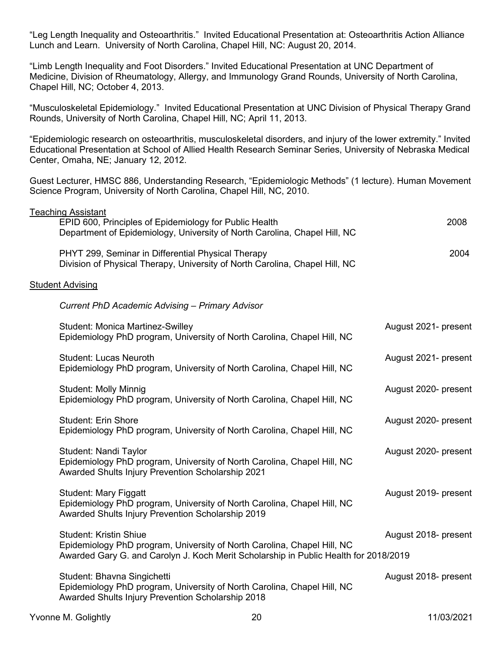"Leg Length Inequality and Osteoarthritis." Invited Educational Presentation at: Osteoarthritis Action Alliance Lunch and Learn. University of North Carolina, Chapel Hill, NC: August 20, 2014.

"Limb Length Inequality and Foot Disorders." Invited Educational Presentation at UNC Department of Medicine, Division of Rheumatology, Allergy, and Immunology Grand Rounds, University of North Carolina, Chapel Hill, NC; October 4, 2013.

"Musculoskeletal Epidemiology." Invited Educational Presentation at UNC Division of Physical Therapy Grand Rounds, University of North Carolina, Chapel Hill, NC; April 11, 2013.

"Epidemiologic research on osteoarthritis, musculoskeletal disorders, and injury of the lower extremity." Invited Educational Presentation at School of Allied Health Research Seminar Series, University of Nebraska Medical Center, Omaha, NE; January 12, 2012.

Guest Lecturer, HMSC 886, Understanding Research, "Epidemiologic Methods" (1 lecture). Human Movement Science Program, University of North Carolina, Chapel Hill, NC, 2010.

| <b>Teaching Assistant</b>                                                                                                                                                                        |                      |
|--------------------------------------------------------------------------------------------------------------------------------------------------------------------------------------------------|----------------------|
| EPID 600, Principles of Epidemiology for Public Health<br>Department of Epidemiology, University of North Carolina, Chapel Hill, NC                                                              | 2008                 |
| PHYT 299, Seminar in Differential Physical Therapy<br>Division of Physical Therapy, University of North Carolina, Chapel Hill, NC                                                                | 2004                 |
| <b>Student Advising</b>                                                                                                                                                                          |                      |
| <b>Current PhD Academic Advising - Primary Advisor</b>                                                                                                                                           |                      |
| <b>Student: Monica Martinez-Swilley</b><br>Epidemiology PhD program, University of North Carolina, Chapel Hill, NC                                                                               | August 2021- present |
| <b>Student: Lucas Neuroth</b><br>Epidemiology PhD program, University of North Carolina, Chapel Hill, NC                                                                                         | August 2021- present |
| <b>Student: Molly Minnig</b><br>Epidemiology PhD program, University of North Carolina, Chapel Hill, NC                                                                                          | August 2020- present |
| <b>Student: Erin Shore</b><br>Epidemiology PhD program, University of North Carolina, Chapel Hill, NC                                                                                            | August 2020- present |
| Student: Nandi Taylor<br>Epidemiology PhD program, University of North Carolina, Chapel Hill, NC<br>Awarded Shults Injury Prevention Scholarship 2021                                            | August 2020- present |
| <b>Student: Mary Figgatt</b><br>Epidemiology PhD program, University of North Carolina, Chapel Hill, NC<br>Awarded Shults Injury Prevention Scholarship 2019                                     | August 2019- present |
| <b>Student: Kristin Shiue</b><br>Epidemiology PhD program, University of North Carolina, Chapel Hill, NC<br>Awarded Gary G. and Carolyn J. Koch Merit Scholarship in Public Health for 2018/2019 | August 2018- present |
| Student: Bhavna Singichetti<br>Epidemiology PhD program, University of North Carolina, Chapel Hill, NC<br>Awarded Shults Injury Prevention Scholarship 2018                                      | August 2018- present |
|                                                                                                                                                                                                  |                      |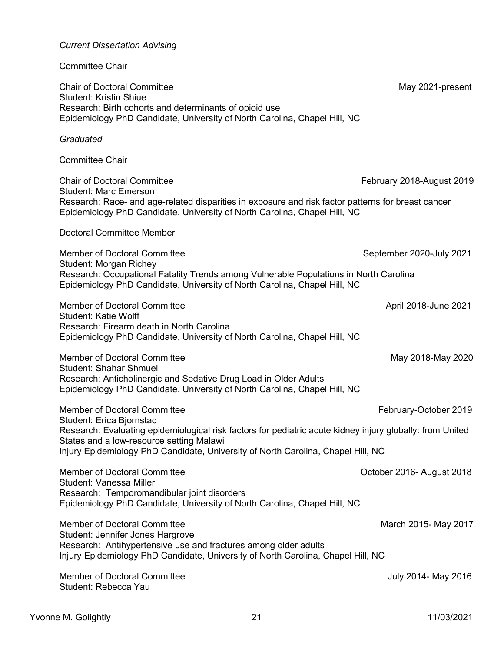| <b>Committee Chair</b>                                                                                                                                                                                                                                                                                       |                           |
|--------------------------------------------------------------------------------------------------------------------------------------------------------------------------------------------------------------------------------------------------------------------------------------------------------------|---------------------------|
| <b>Chair of Doctoral Committee</b><br><b>Student: Kristin Shiue</b><br>Research: Birth cohorts and determinants of opioid use<br>Epidemiology PhD Candidate, University of North Carolina, Chapel Hill, NC                                                                                                   | May 2021-present          |
| Graduated                                                                                                                                                                                                                                                                                                    |                           |
| <b>Committee Chair</b>                                                                                                                                                                                                                                                                                       |                           |
| <b>Chair of Doctoral Committee</b><br><b>Student: Marc Emerson</b><br>Research: Race- and age-related disparities in exposure and risk factor patterns for breast cancer<br>Epidemiology PhD Candidate, University of North Carolina, Chapel Hill, NC                                                        | February 2018-August 2019 |
| <b>Doctoral Committee Member</b>                                                                                                                                                                                                                                                                             |                           |
| <b>Member of Doctoral Committee</b><br><b>Student: Morgan Richey</b><br>Research: Occupational Fatality Trends among Vulnerable Populations in North Carolina<br>Epidemiology PhD Candidate, University of North Carolina, Chapel Hill, NC                                                                   | September 2020-July 2021  |
| <b>Member of Doctoral Committee</b><br><b>Student: Katie Wolff</b><br>Research: Firearm death in North Carolina<br>Epidemiology PhD Candidate, University of North Carolina, Chapel Hill, NC                                                                                                                 | April 2018-June 2021      |
| <b>Member of Doctoral Committee</b><br><b>Student: Shahar Shmuel</b><br>Research: Anticholinergic and Sedative Drug Load in Older Adults<br>Epidemiology PhD Candidate, University of North Carolina, Chapel Hill, NC                                                                                        | May 2018-May 2020         |
| <b>Member of Doctoral Committee</b><br>Student: Erica Bjornstad<br>Research: Evaluating epidemiological risk factors for pediatric acute kidney injury globally: from United<br>States and a low-resource setting Malawi<br>Injury Epidemiology PhD Candidate, University of North Carolina, Chapel Hill, NC | February-October 2019     |
| <b>Member of Doctoral Committee</b><br><b>Student: Vanessa Miller</b><br>Research: Temporomandibular joint disorders<br>Epidemiology PhD Candidate, University of North Carolina, Chapel Hill, NC                                                                                                            | October 2016- August 2018 |
| <b>Member of Doctoral Committee</b><br>Student: Jennifer Jones Hargrove<br>Research: Antihypertensive use and fractures among older adults<br>Injury Epidemiology PhD Candidate, University of North Carolina, Chapel Hill, NC                                                                               | March 2015- May 2017      |
| <b>Member of Doctoral Committee</b><br>Student: Rebecca Yau                                                                                                                                                                                                                                                  | July 2014- May 2016       |

*Current Dissertation Advising*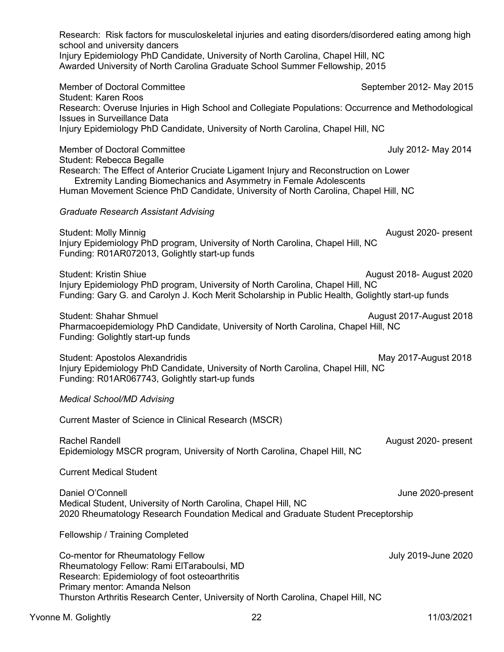| Research: Risk factors for musculoskeletal injuries and eating disorders/disordered eating among high<br>school and university dancers<br>Injury Epidemiology PhD Candidate, University of North Carolina, Chapel Hill, NC<br>Awarded University of North Carolina Graduate School Summer Fellowship, 2015            |                          |
|-----------------------------------------------------------------------------------------------------------------------------------------------------------------------------------------------------------------------------------------------------------------------------------------------------------------------|--------------------------|
| <b>Member of Doctoral Committee</b><br><b>Student: Karen Roos</b>                                                                                                                                                                                                                                                     | September 2012- May 2015 |
| Research: Overuse Injuries in High School and Collegiate Populations: Occurrence and Methodological<br><b>Issues in Surveillance Data</b><br>Injury Epidemiology PhD Candidate, University of North Carolina, Chapel Hill, NC                                                                                         |                          |
|                                                                                                                                                                                                                                                                                                                       |                          |
| <b>Member of Doctoral Committee</b><br>Student: Rebecca Begalle<br>Research: The Effect of Anterior Cruciate Ligament Injury and Reconstruction on Lower<br>Extremity Landing Biomechanics and Asymmetry in Female Adolescents<br>Human Movement Science PhD Candidate, University of North Carolina, Chapel Hill, NC | July 2012- May 2014      |
| <b>Graduate Research Assistant Advising</b>                                                                                                                                                                                                                                                                           |                          |
| <b>Student: Molly Minnig</b><br>Injury Epidemiology PhD program, University of North Carolina, Chapel Hill, NC<br>Funding: R01AR072013, Golightly start-up funds                                                                                                                                                      | August 2020- present     |
| <b>Student: Kristin Shiue</b><br>Injury Epidemiology PhD program, University of North Carolina, Chapel Hill, NC<br>Funding: Gary G. and Carolyn J. Koch Merit Scholarship in Public Health, Golightly start-up funds                                                                                                  | August 2018- August 2020 |
| <b>Student: Shahar Shmuel</b><br>Pharmacoepidemiology PhD Candidate, University of North Carolina, Chapel Hill, NC<br>Funding: Golightly start-up funds                                                                                                                                                               | August 2017-August 2018  |
| <b>Student: Apostolos Alexandridis</b><br>Injury Epidemiology PhD Candidate, University of North Carolina, Chapel Hill, NC<br>Funding: R01AR067743, Golightly start-up funds                                                                                                                                          | May 2017-August 2018     |
| <b>Medical School/MD Advising</b>                                                                                                                                                                                                                                                                                     |                          |
| Current Master of Science in Clinical Research (MSCR)                                                                                                                                                                                                                                                                 |                          |
| Rachel Randell<br>Epidemiology MSCR program, University of North Carolina, Chapel Hill, NC                                                                                                                                                                                                                            | August 2020- present     |
| <b>Current Medical Student</b>                                                                                                                                                                                                                                                                                        |                          |
| Daniel O'Connell<br>Medical Student, University of North Carolina, Chapel Hill, NC<br>2020 Rheumatology Research Foundation Medical and Graduate Student Preceptorship                                                                                                                                                | June 2020-present        |
| <b>Fellowship / Training Completed</b>                                                                                                                                                                                                                                                                                |                          |
| Co-mentor for Rheumatology Fellow<br>Rheumatology Fellow: Rami ElTaraboulsi, MD<br>Research: Epidemiology of foot osteoarthritis<br>Primary mentor: Amanda Nelson<br>Thurston Arthritis Research Center, University of North Carolina, Chapel Hill, NC                                                                | July 2019-June 2020      |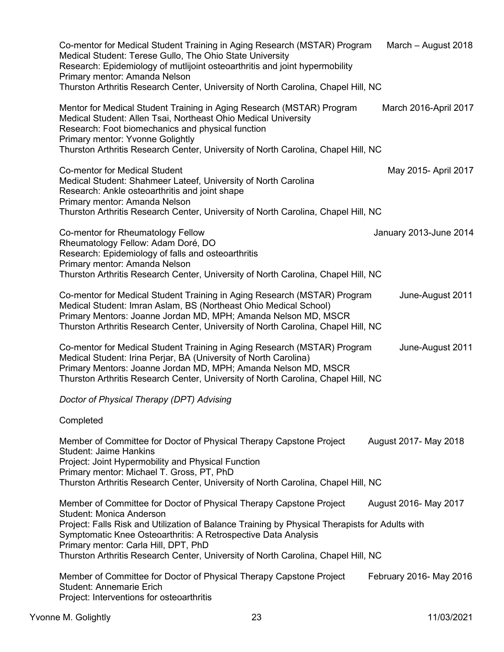| Co-mentor for Medical Student Training in Aging Research (MSTAR) Program<br>Medical Student: Terese Gullo, The Ohio State University<br>Research: Epidemiology of mutlijoint osteoarthritis and joint hypermobility<br>Primary mentor: Amanda Nelson<br>Thurston Arthritis Research Center, University of North Carolina, Chapel Hill, NC | March - August 2018     |  |
|-------------------------------------------------------------------------------------------------------------------------------------------------------------------------------------------------------------------------------------------------------------------------------------------------------------------------------------------|-------------------------|--|
| Mentor for Medical Student Training in Aging Research (MSTAR) Program<br>Medical Student: Allen Tsai, Northeast Ohio Medical University<br>Research: Foot biomechanics and physical function<br><b>Primary mentor: Yvonne Golightly</b><br>Thurston Arthritis Research Center, University of North Carolina, Chapel Hill, NC              | March 2016-April 2017   |  |
| <b>Co-mentor for Medical Student</b><br>Medical Student: Shahmeer Lateef, University of North Carolina<br>Research: Ankle osteoarthritis and joint shape<br>Primary mentor: Amanda Nelson<br>Thurston Arthritis Research Center, University of North Carolina, Chapel Hill, NC                                                            | May 2015- April 2017    |  |
| Co-mentor for Rheumatology Fellow<br>Rheumatology Fellow: Adam Doré, DO<br>Research: Epidemiology of falls and osteoarthritis<br>Primary mentor: Amanda Nelson<br>Thurston Arthritis Research Center, University of North Carolina, Chapel Hill, NC                                                                                       | January 2013-June 2014  |  |
| Co-mentor for Medical Student Training in Aging Research (MSTAR) Program<br>Medical Student: Imran Aslam, BS (Northeast Ohio Medical School)<br>Primary Mentors: Joanne Jordan MD, MPH; Amanda Nelson MD, MSCR<br>Thurston Arthritis Research Center, University of North Carolina, Chapel Hill, NC                                       | June-August 2011        |  |
| Co-mentor for Medical Student Training in Aging Research (MSTAR) Program<br>Medical Student: Irina Perjar, BA (University of North Carolina)<br>Primary Mentors: Joanne Jordan MD, MPH; Amanda Nelson MD, MSCR<br>Thurston Arthritis Research Center, University of North Carolina, Chapel Hill, NC                                       | June-August 2011        |  |
| Doctor of Physical Therapy (DPT) Advising                                                                                                                                                                                                                                                                                                 |                         |  |
| Completed                                                                                                                                                                                                                                                                                                                                 |                         |  |
| Member of Committee for Doctor of Physical Therapy Capstone Project<br><b>Student: Jaime Hankins</b><br>Project: Joint Hypermobility and Physical Function<br>Primary mentor: Michael T. Gross, PT, PhD<br>Thurston Arthritis Research Center, University of North Carolina, Chapel Hill, NC                                              | August 2017- May 2018   |  |
| Member of Committee for Doctor of Physical Therapy Capstone Project                                                                                                                                                                                                                                                                       | August 2016- May 2017   |  |
| <b>Student: Monica Anderson</b><br>Project: Falls Risk and Utilization of Balance Training by Physical Therapists for Adults with<br>Symptomatic Knee Osteoarthritis: A Retrospective Data Analysis<br>Primary mentor: Carla Hill, DPT, PhD<br>Thurston Arthritis Research Center, University of North Carolina, Chapel Hill, NC          |                         |  |
| Member of Committee for Doctor of Physical Therapy Capstone Project<br><b>Student: Annemarie Erich</b><br>Project: Interventions for osteoarthritis                                                                                                                                                                                       | February 2016- May 2016 |  |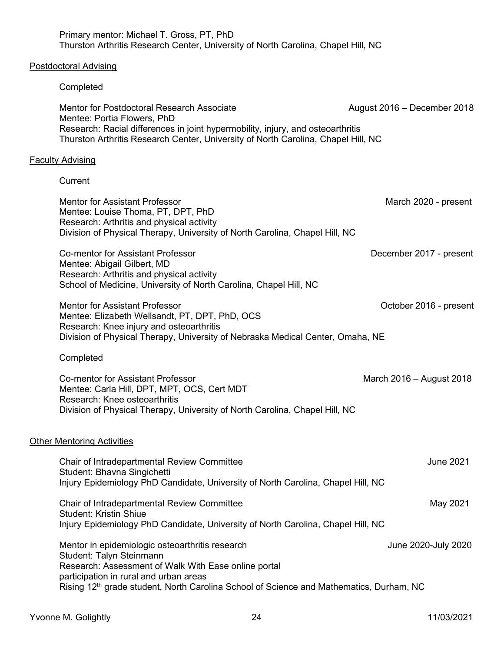| Primary mentor: Michael T. Gross, PT, PhD<br>Thurston Arthritis Research Center, University of North Carolina, Chapel Hill, NC                                                                                                                                                       |                             |
|--------------------------------------------------------------------------------------------------------------------------------------------------------------------------------------------------------------------------------------------------------------------------------------|-----------------------------|
| Postdoctoral Advising                                                                                                                                                                                                                                                                |                             |
| Completed                                                                                                                                                                                                                                                                            |                             |
| Mentor for Postdoctoral Research Associate<br>Mentee: Portia Flowers, PhD<br>Research: Racial differences in joint hypermobility, injury, and osteoarthritis<br>Thurston Arthritis Research Center, University of North Carolina, Chapel Hill, NC                                    | August 2016 - December 2018 |
| <u>Faculty Advising</u>                                                                                                                                                                                                                                                              |                             |
| Current                                                                                                                                                                                                                                                                              |                             |
| <b>Mentor for Assistant Professor</b><br>Mentee: Louise Thoma, PT, DPT, PhD<br>Research: Arthritis and physical activity<br>Division of Physical Therapy, University of North Carolina, Chapel Hill, NC                                                                              | March 2020 - present        |
| <b>Co-mentor for Assistant Professor</b><br>Mentee: Abigail Gilbert, MD<br>Research: Arthritis and physical activity<br>School of Medicine, University of North Carolina, Chapel Hill, NC                                                                                            | December 2017 - present     |
| <b>Mentor for Assistant Professor</b><br>Mentee: Elizabeth Wellsandt, PT, DPT, PhD, OCS<br>Research: Knee injury and osteoarthritis<br>Division of Physical Therapy, University of Nebraska Medical Center, Omaha, NE                                                                | October 2016 - present      |
| Completed                                                                                                                                                                                                                                                                            |                             |
| <b>Co-mentor for Assistant Professor</b><br>Mentee: Carla Hill, DPT, MPT, OCS, Cert MDT<br>Research: Knee osteoarthritis<br>Division of Physical Therapy, University of North Carolina, Chapel Hill, NC                                                                              | March 2016 - August 2018    |
| <b>Other Mentoring Activities</b>                                                                                                                                                                                                                                                    |                             |
| Chair of Intradepartmental Review Committee<br>Student: Bhavna Singichetti<br>Injury Epidemiology PhD Candidate, University of North Carolina, Chapel Hill, NC                                                                                                                       | <b>June 2021</b>            |
| Chair of Intradepartmental Review Committee<br><b>Student: Kristin Shiue</b><br>Injury Epidemiology PhD Candidate, University of North Carolina, Chapel Hill, NC                                                                                                                     | May 2021                    |
| Mentor in epidemiologic osteoarthritis research<br>Student: Talyn Steinmann<br>Research: Assessment of Walk With Ease online portal<br>participation in rural and urban areas<br>Rising 12 <sup>th</sup> grade student, North Carolina School of Science and Mathematics, Durham, NC | June 2020-July 2020         |
|                                                                                                                                                                                                                                                                                      |                             |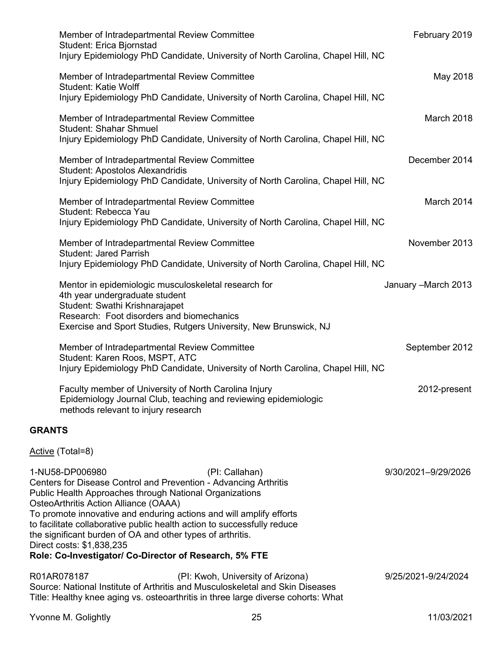| Member of Intradepartmental Review Committee<br>Student: Erica Bjornstad<br>Injury Epidemiology PhD Candidate, University of North Carolina, Chapel Hill, NC                                                                                                                                                                                                                                                                                                                                                     | February 2019        |
|------------------------------------------------------------------------------------------------------------------------------------------------------------------------------------------------------------------------------------------------------------------------------------------------------------------------------------------------------------------------------------------------------------------------------------------------------------------------------------------------------------------|----------------------|
| Member of Intradepartmental Review Committee<br><b>Student: Katie Wolff</b><br>Injury Epidemiology PhD Candidate, University of North Carolina, Chapel Hill, NC                                                                                                                                                                                                                                                                                                                                                  | May 2018             |
| Member of Intradepartmental Review Committee<br><b>Student: Shahar Shmuel</b><br>Injury Epidemiology PhD Candidate, University of North Carolina, Chapel Hill, NC                                                                                                                                                                                                                                                                                                                                                | March 2018           |
| Member of Intradepartmental Review Committee<br>Student: Apostolos Alexandridis<br>Injury Epidemiology PhD Candidate, University of North Carolina, Chapel Hill, NC                                                                                                                                                                                                                                                                                                                                              | December 2014        |
| Member of Intradepartmental Review Committee<br>Student: Rebecca Yau<br>Injury Epidemiology PhD Candidate, University of North Carolina, Chapel Hill, NC                                                                                                                                                                                                                                                                                                                                                         | March 2014           |
| Member of Intradepartmental Review Committee<br><b>Student: Jared Parrish</b><br>Injury Epidemiology PhD Candidate, University of North Carolina, Chapel Hill, NC                                                                                                                                                                                                                                                                                                                                                | November 2013        |
| Mentor in epidemiologic musculoskeletal research for<br>4th year undergraduate student<br>Student: Swathi Krishnarajapet<br>Research: Foot disorders and biomechanics<br>Exercise and Sport Studies, Rutgers University, New Brunswick, NJ                                                                                                                                                                                                                                                                       | January - March 2013 |
| Member of Intradepartmental Review Committee<br>Student: Karen Roos, MSPT, ATC<br>Injury Epidemiology PhD Candidate, University of North Carolina, Chapel Hill, NC                                                                                                                                                                                                                                                                                                                                               | September 2012       |
| Faculty member of University of North Carolina Injury<br>Epidemiology Journal Club, teaching and reviewing epidemiologic<br>methods relevant to injury research                                                                                                                                                                                                                                                                                                                                                  | 2012-present         |
| <b>GRANTS</b>                                                                                                                                                                                                                                                                                                                                                                                                                                                                                                    |                      |
| Active (Total=8)                                                                                                                                                                                                                                                                                                                                                                                                                                                                                                 |                      |
| 1-NU58-DP006980<br>(PI: Callahan)<br>Centers for Disease Control and Prevention - Advancing Arthritis<br>Public Health Approaches through National Organizations<br>OsteoArthritis Action Alliance (OAAA)<br>To promote innovative and enduring actions and will amplify efforts<br>to facilitate collaborative public health action to successfully reduce<br>the significant burden of OA and other types of arthritis.<br>Direct costs: \$1,838,235<br>Role: Co-Investigator/ Co-Director of Research, 5% FTE | 9/30/2021-9/29/2026  |
| R01AR078187<br>(PI: Kwoh, University of Arizona)<br>Source: National Institute of Arthritis and Musculoskeletal and Skin Diseases                                                                                                                                                                                                                                                                                                                                                                                | 9/25/2021-9/24/2024  |

Title: Healthy knee aging vs. osteoarthritis in three large diverse cohorts: What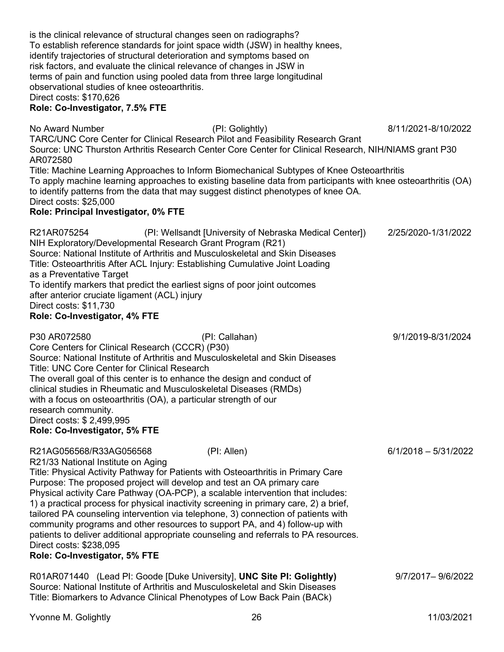| identify trajectories of structural deterioration and symptoms based on<br>risk factors, and evaluate the clinical relevance of changes in JSW in<br>terms of pain and function using pooled data from three large longitudinal<br>observational studies of knee osteoarthritis.<br>Direct costs: \$170,626<br>Role: Co-Investigator, 7.5% FTE                                                                                    | To establish reference standards for joint space width (JSW) in healthy knees,                                                                                                                                                                                                                                                                                                                                                                                                                                                           |                        |
|-----------------------------------------------------------------------------------------------------------------------------------------------------------------------------------------------------------------------------------------------------------------------------------------------------------------------------------------------------------------------------------------------------------------------------------|------------------------------------------------------------------------------------------------------------------------------------------------------------------------------------------------------------------------------------------------------------------------------------------------------------------------------------------------------------------------------------------------------------------------------------------------------------------------------------------------------------------------------------------|------------------------|
| No Award Number                                                                                                                                                                                                                                                                                                                                                                                                                   | (PI: Golightly)<br>TARC/UNC Core Center for Clinical Research Pilot and Feasibility Research Grant<br>Source: UNC Thurston Arthritis Research Center Core Center for Clinical Research, NIH/NIAMS grant P30                                                                                                                                                                                                                                                                                                                              | 8/11/2021-8/10/2022    |
| AR072580<br>Direct costs: \$25,000<br>Role: Principal Investigator, 0% FTE                                                                                                                                                                                                                                                                                                                                                        | Title: Machine Learning Approaches to Inform Biomechanical Subtypes of Knee Osteoarthritis<br>To apply machine learning approaches to existing baseline data from participants with knee osteoarthritis (OA)<br>to identify patterns from the data that may suggest distinct phenotypes of knee OA.                                                                                                                                                                                                                                      |                        |
| R21AR075254<br>NIH Exploratory/Developmental Research Grant Program (R21)<br>as a Preventative Target<br>To identify markers that predict the earliest signs of poor joint outcomes<br>after anterior cruciate ligament (ACL) injury<br>Direct costs: \$11,730<br>Role: Co-Investigator, 4% FTE                                                                                                                                   | (PI: Wellsandt [University of Nebraska Medical Center])<br>Source: National Institute of Arthritis and Musculoskeletal and Skin Diseases<br>Title: Osteoarthritis After ACL Injury: Establishing Cumulative Joint Loading                                                                                                                                                                                                                                                                                                                | 2/25/2020-1/31/2022    |
| P30 AR072580<br>Core Centers for Clinical Research (CCCR) (P30)<br><b>Title: UNC Core Center for Clinical Research</b><br>The overall goal of this center is to enhance the design and conduct of<br>clinical studies in Rheumatic and Musculoskeletal Diseases (RMDs)<br>with a focus on osteoarthritis (OA), a particular strength of our<br>research community.<br>Direct costs: \$ 2,499,995<br>Role: Co-Investigator, 5% FTE | (PI: Callahan)<br>Source: National Institute of Arthritis and Musculoskeletal and Skin Diseases                                                                                                                                                                                                                                                                                                                                                                                                                                          | 9/1/2019-8/31/2024     |
| R21AG056568/R33AG056568<br>R21/33 National Institute on Aging<br>Purpose: The proposed project will develop and test an OA primary care<br>Direct costs: \$238,095<br>Role: Co-Investigator, 5% FTE                                                                                                                                                                                                                               | (PI: Allen)<br>Title: Physical Activity Pathway for Patients with Osteoarthritis in Primary Care<br>Physical activity Care Pathway (OA-PCP), a scalable intervention that includes:<br>1) a practical process for physical inactivity screening in primary care, 2) a brief,<br>tailored PA counseling intervention via telephone, 3) connection of patients with<br>community programs and other resources to support PA, and 4) follow-up with<br>patients to deliver additional appropriate counseling and referrals to PA resources. | $6/1/2018 - 5/31/2022$ |
|                                                                                                                                                                                                                                                                                                                                                                                                                                   | R01AR071440 (Lead PI: Goode [Duke University], UNC Site PI: Golightly)<br>Source: National Institute of Arthritis and Musculoskeletal and Skin Diseases<br>Title: Biomarkers to Advance Clinical Phenotypes of Low Back Pain (BACk)                                                                                                                                                                                                                                                                                                      | 9/7/2017-9/6/2022      |

is the clinical relevance of structural changes seen on radiographs?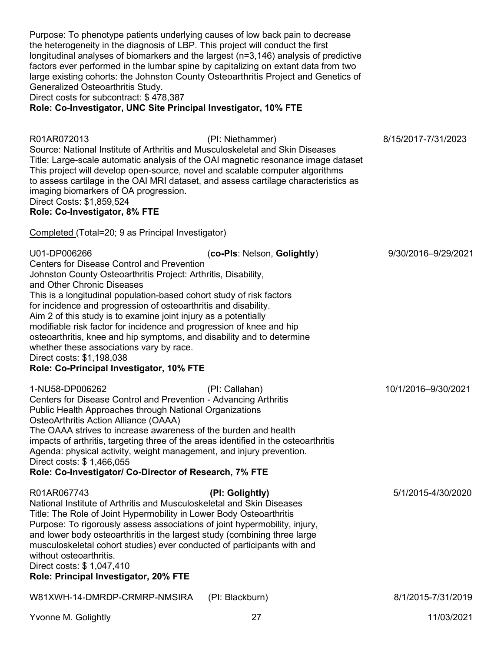| Purpose: To phenotype patients underlying causes of low back pain to decrease<br>the heterogeneity in the diagnosis of LBP. This project will conduct the first<br>longitudinal analyses of biomarkers and the largest (n=3,146) analysis of predictive<br>factors ever performed in the lumbar spine by capitalizing on extant data from two<br>large existing cohorts: the Johnston County Osteoarthritis Project and Genetics of<br>Generalized Osteoarthritis Study.<br>Direct costs for subcontract: \$478,387<br>Role: Co-Investigator, UNC Site Principal Investigator, 10% FTE                                                                 |                             |                     |
|--------------------------------------------------------------------------------------------------------------------------------------------------------------------------------------------------------------------------------------------------------------------------------------------------------------------------------------------------------------------------------------------------------------------------------------------------------------------------------------------------------------------------------------------------------------------------------------------------------------------------------------------------------|-----------------------------|---------------------|
| R01AR072013<br>Source: National Institute of Arthritis and Musculoskeletal and Skin Diseases<br>Title: Large-scale automatic analysis of the OAI magnetic resonance image dataset<br>This project will develop open-source, novel and scalable computer algorithms<br>to assess cartilage in the OAI MRI dataset, and assess cartilage characteristics as<br>imaging biomarkers of OA progression.<br>Direct Costs: \$1,859,524<br>Role: Co-Investigator, 8% FTE                                                                                                                                                                                       | (PI: Niethammer)            | 8/15/2017-7/31/2023 |
| Completed (Total=20; 9 as Principal Investigator)                                                                                                                                                                                                                                                                                                                                                                                                                                                                                                                                                                                                      |                             |                     |
| U01-DP006266<br><b>Centers for Disease Control and Prevention</b><br>Johnston County Osteoarthritis Project: Arthritis, Disability,<br>and Other Chronic Diseases<br>This is a longitudinal population-based cohort study of risk factors<br>for incidence and progression of osteoarthritis and disability.<br>Aim 2 of this study is to examine joint injury as a potentially<br>modifiable risk factor for incidence and progression of knee and hip<br>osteoarthritis, knee and hip symptoms, and disability and to determine<br>whether these associations vary by race.<br>Direct costs: \$1,198,038<br>Role: Co-Principal Investigator, 10% FTE | (co-Pls: Nelson, Golightly) | 9/30/2016-9/29/2021 |
| 1-NU58-DP006262<br>Centers for Disease Control and Prevention - Advancing Arthritis<br>Public Health Approaches through National Organizations<br>OsteoArthritis Action Alliance (OAAA)<br>The OAAA strives to increase awareness of the burden and health<br>impacts of arthritis, targeting three of the areas identified in the osteoarthritis<br>Agenda: physical activity, weight management, and injury prevention.<br>Direct costs: \$1,466,055<br>Role: Co-Investigator/ Co-Director of Research, 7% FTE                                                                                                                                       | (PI: Callahan)              | 10/1/2016-9/30/2021 |
| R01AR067743<br>National Institute of Arthritis and Musculoskeletal and Skin Diseases<br>Title: The Role of Joint Hypermobility in Lower Body Osteoarthritis<br>Purpose: To rigorously assess associations of joint hypermobility, injury,<br>and lower body osteoarthritis in the largest study (combining three large<br>musculoskeletal cohort studies) ever conducted of participants with and<br>without osteoarthritis.<br>Direct costs: \$1,047,410<br>Role: Principal Investigator, 20% FTE                                                                                                                                                     | (PI: Golightly)             | 5/1/2015-4/30/2020  |
| W81XWH-14-DMRDP-CRMRP-NMSIRA                                                                                                                                                                                                                                                                                                                                                                                                                                                                                                                                                                                                                           | (PI: Blackburn)             | 8/1/2015-7/31/2019  |
|                                                                                                                                                                                                                                                                                                                                                                                                                                                                                                                                                                                                                                                        |                             |                     |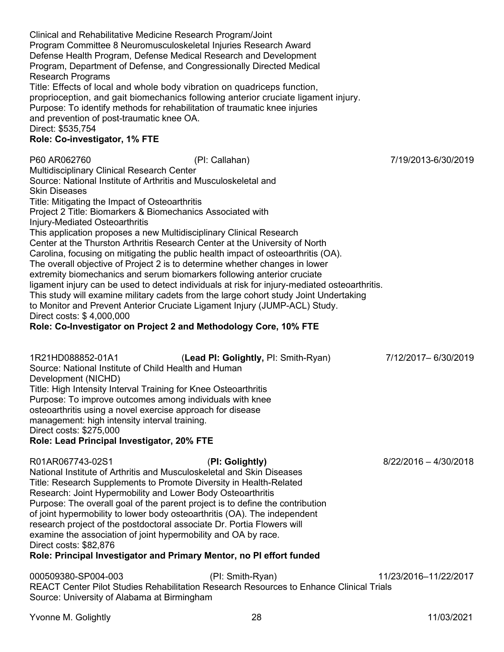Clinical and Rehabilitative Medicine Research Program/Joint Program Committee 8 Neuromusculoskeletal Injuries Research Award Defense Health Program, Defense Medical Research and Development Program, Department of Defense, and Congressionally Directed Medical Research Programs Title: Effects of local and whole body vibration on quadriceps function, proprioception, and gait biomechanics following anterior cruciate ligament injury. Purpose: To identify methods for rehabilitation of traumatic knee injuries and prevention of post-traumatic knee OA. Direct: \$535,754 **Role: Co-investigator, 1% FTE** P60 AR062760 (PI: Callahan) 7/19/2013-6/30/2019 Multidisciplinary Clinical Research Center Source: National Institute of Arthritis and Musculoskeletal and Skin Diseases Title: Mitigating the Impact of Osteoarthritis Project 2 Title: Biomarkers & Biomechanics Associated with Injury-Mediated Osteoarthritis This application proposes a new Multidisciplinary Clinical Research Center at the Thurston Arthritis Research Center at the University of North Carolina, focusing on mitigating the public health impact of osteoarthritis (OA). The overall objective of Project 2 is to determine whether changes in lower extremity biomechanics and serum biomarkers following anterior cruciate ligament injury can be used to detect individuals at risk for injury-mediated osteoarthritis. This study will examine military cadets from the large cohort study Joint Undertaking to Monitor and Prevent Anterior Cruciate Ligament Injury (JUMP-ACL) Study. Direct costs: \$ 4,000,000 **Role: Co-Investigator on Project 2 and Methodology Core, 10% FTE** 1R21HD088852-01A1 (**Lead PI: Golightly,** PI: Smith-Ryan) 7/12/2017– 6/30/2019 Source: National Institute of Child Health and Human Development (NICHD) Title: High Intensity Interval Training for Knee Osteoarthritis Purpose: To improve outcomes among individuals with knee osteoarthritis using a novel exercise approach for disease management: high intensity interval training. Direct costs: \$275,000 **Role: Lead Principal Investigator, 20% FTE** R01AR067743-02S1 (**PI: Golightly)** 8/22/2016 – 4/30/2018 National Institute of Arthritis and Musculoskeletal and Skin Diseases Title: Research Supplements to Promote Diversity in Health-Related Research: Joint Hypermobility and Lower Body Osteoarthritis Purpose: The overall goal of the parent project is to define the contribution of joint hypermobility to lower body osteoarthritis (OA). The independent research project of the postdoctoral associate Dr. Portia Flowers will examine the association of joint hypermobility and OA by race. Direct costs: \$82,876 **Role: Principal Investigator and Primary Mentor, no PI effort funded** 000509380-SP004-003 (PI: Smith-Ryan) 11/23/2016–11/22/2017 REACT Center Pilot Studies Rehabilitation Research Resources to Enhance Clinical Trials Source: University of Alabama at Birmingham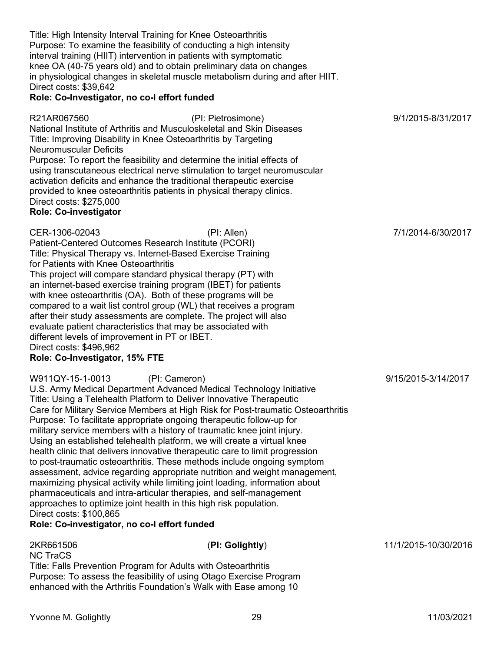Title: High Intensity Interval Training for Knee Osteoarthritis Purpose: To examine the feasibility of conducting a high intensity interval training (HIIT) intervention in patients with symptomatic knee OA (40-75 years old) and to obtain preliminary data on changes in physiological changes in skeletal muscle metabolism during and after HIIT. Direct costs: \$39,642

### **Role: Co-Investigator, no co-I effort funded**

R21AR067560 (PI: Pietrosimone) 9/1/2015-8/31/2017 National Institute of Arthritis and Musculoskeletal and Skin Diseases Title: Improving Disability in Knee Osteoarthritis by Targeting Neuromuscular Deficits Purpose: To report the feasibility and determine the initial effects of using transcutaneous electrical nerve stimulation to target neuromuscular activation deficits and enhance the traditional therapeutic exercise provided to knee osteoarthritis patients in physical therapy clinics. Direct costs: \$275,000

## **Role: Co-investigator**

Patient-Centered Outcomes Research Institute (PCORI) Title: Physical Therapy vs. Internet-Based Exercise Training for Patients with Knee Osteoarthritis

This project will compare standard physical therapy (PT) with an internet-based exercise training program (IBET) for patients with knee osteoarthritis (OA). Both of these programs will be compared to a wait list control group (WL) that receives a program after their study assessments are complete. The project will also evaluate patient characteristics that may be associated with different levels of improvement in PT or IBET. Direct costs: \$496,962

### **Role: Co-Investigator, 15% FTE**

W911QY-15-1-0013 (PI: Cameron) 9/15/2015-3/14/2017

U.S. Army Medical Department Advanced Medical Technology Initiative Title: Using a Telehealth Platform to Deliver Innovative Therapeutic Care for Military Service Members at High Risk for Post-traumatic Osteoarthritis Purpose: To facilitate appropriate ongoing therapeutic follow-up for military service members with a history of traumatic knee joint injury. Using an established telehealth platform, we will create a virtual knee health clinic that delivers innovative therapeutic care to limit progression to post-traumatic osteoarthritis. These methods include ongoing symptom assessment, advice regarding appropriate nutrition and weight management, maximizing physical activity while limiting joint loading, information about pharmaceuticals and intra-articular therapies, and self-management approaches to optimize joint health in this high risk population. Direct costs: \$100,865

## **Role: Co-investigator, no co-I effort funded**

| 2KR661506<br><b>NC TraCS</b> | (PI: Golightly)                                                    | 11/1/2015-10/30/2016 |
|------------------------------|--------------------------------------------------------------------|----------------------|
|                              | Title: Falls Prevention Program for Adults with Osteoarthritis     |                      |
|                              | Purpose: To assess the feasibility of using Otago Exercise Program |                      |
|                              | enhanced with the Arthritis Foundation's Walk with Ease among 10   |                      |

CER-1306-02043 (PI: Allen) 7/1/2014-6/30/2017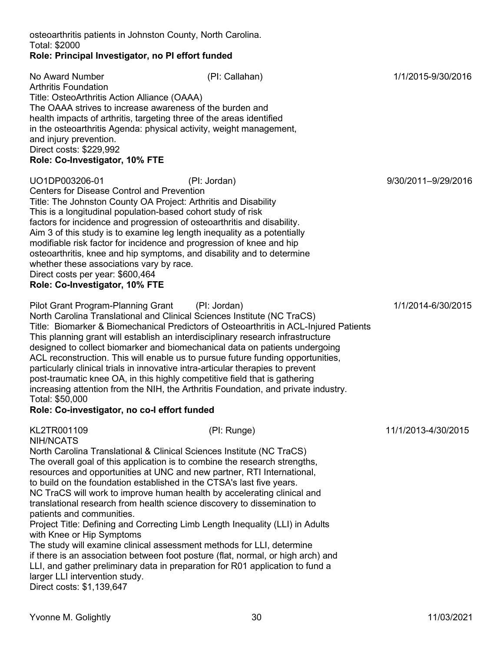with Knee or Hip Symptoms

larger LLI intervention study. Direct costs: \$1,139,647

#### osteoarthritis patients in Johnston County, North Carolina. Total: \$2000 **Role: Principal Investigator, no PI effort funded**

### Arthritis Foundation Title: OsteoArthritis Action Alliance (OAAA) The OAAA strives to increase awareness of the burden and health impacts of arthritis, targeting three of the areas identified in the osteoarthritis Agenda: physical activity, weight management, and injury prevention. Direct costs: \$229,992 **Role: Co-Investigator, 10% FTE** UO1DP003206-01 (PI: Jordan) 9/30/2011–9/29/2016 Centers for Disease Control and Prevention Title: The Johnston County OA Project: Arthritis and Disability This is a longitudinal population-based cohort study of risk factors for incidence and progression of osteoarthritis and disability. Aim 3 of this study is to examine leg length inequality as a potentially modifiable risk factor for incidence and progression of knee and hip osteoarthritis, knee and hip symptoms, and disability and to determine whether these associations vary by race. Direct costs per year: \$600,464 **Role: Co-Investigator, 10% FTE** Pilot Grant Program-Planning Grant (PI: Jordan) 1/1/2014-6/30/2015 North Carolina Translational and Clinical Sciences Institute (NC TraCS) Title: Biomarker & Biomechanical Predictors of Osteoarthritis in ACL-Injured Patients This planning grant will establish an interdisciplinary research infrastructure designed to collect biomarker and biomechanical data on patients undergoing ACL reconstruction. This will enable us to pursue future funding opportunities, particularly clinical trials in innovative intra-articular therapies to prevent post-traumatic knee OA, in this highly competitive field that is gathering increasing attention from the NIH, the Arthritis Foundation, and private industry. Total: \$50,000 **Role: Co-investigator, no co-I effort funded** KL2TR001109 (PI: Runge) 11/1/2013-4/30/2015 NIH/NCATS North Carolina Translational & Clinical Sciences Institute (NC TraCS) The overall goal of this application is to combine the research strengths, resources and opportunities at UNC and new partner, RTI International, to build on the foundation established in the CTSA's last five years. NC TraCS will work to improve human health by accelerating clinical and translational research from health science discovery to dissemination to patients and communities. Project Title: Defining and Correcting Limb Length Inequality (LLI) in Adults

No Award Number (PI: Callahan) 1/1/2015-9/30/2016

The study will examine clinical assessment methods for LLI, determine

if there is an association between foot posture (flat, normal, or high arch) and LLI, and gather preliminary data in preparation for R01 application to fund a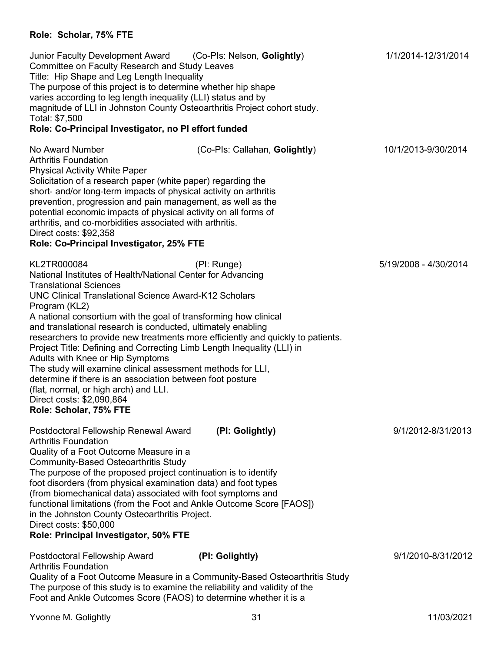# **Role: Scholar, 75% FTE**

| Junior Faculty Development Award (Co-Pls: Nelson, Golightly)<br>Committee on Faculty Research and Study Leaves<br>Title: Hip Shape and Leg Length Inequality<br>The purpose of this project is to determine whether hip shape<br>varies according to leg length inequality (LLI) status and by<br>magnitude of LLI in Johnston County Osteoarthritis Project cohort study.<br>Total: \$7,500<br>Role: Co-Principal Investigator, no PI effort funded                                                                                                                                                                                                                       |                                                                                                | 1/1/2014-12/31/2014   |
|----------------------------------------------------------------------------------------------------------------------------------------------------------------------------------------------------------------------------------------------------------------------------------------------------------------------------------------------------------------------------------------------------------------------------------------------------------------------------------------------------------------------------------------------------------------------------------------------------------------------------------------------------------------------------|------------------------------------------------------------------------------------------------|-----------------------|
|                                                                                                                                                                                                                                                                                                                                                                                                                                                                                                                                                                                                                                                                            |                                                                                                |                       |
| No Award Number<br><b>Arthritis Foundation</b><br><b>Physical Activity White Paper</b><br>Solicitation of a research paper (white paper) regarding the<br>short- and/or long-term impacts of physical activity on arthritis<br>prevention, progression and pain management, as well as the<br>potential economic impacts of physical activity on all forms of<br>arthritis, and co-morbidities associated with arthritis.<br>Direct costs: \$92,358<br>Role: Co-Principal Investigator, 25% FTE                                                                                                                                                                            | (Co-Pls: Callahan, Golightly)                                                                  | 10/1/2013-9/30/2014   |
| KL2TR000084<br>National Institutes of Health/National Center for Advancing<br><b>Translational Sciences</b><br><b>UNC Clinical Translational Science Award-K12 Scholars</b><br>Program (KL2)<br>A national consortium with the goal of transforming how clinical<br>and translational research is conducted, ultimately enabling<br>Project Title: Defining and Correcting Limb Length Inequality (LLI) in<br>Adults with Knee or Hip Symptoms<br>The study will examine clinical assessment methods for LLI,<br>determine if there is an association between foot posture<br>(flat, normal, or high arch) and LLI.<br>Direct costs: \$2,090,864<br>Role: Scholar, 75% FTE | (PI: Runge)<br>researchers to provide new treatments more efficiently and quickly to patients. | 5/19/2008 - 4/30/2014 |
| Postdoctoral Fellowship Renewal Award<br><b>Arthritis Foundation</b><br>Quality of a Foot Outcome Measure in a<br><b>Community-Based Osteoarthritis Study</b><br>The purpose of the proposed project continuation is to identify<br>foot disorders (from physical examination data) and foot types<br>(from biomechanical data) associated with foot symptoms and<br>functional limitations (from the Foot and Ankle Outcome Score [FAOS])<br>in the Johnston County Osteoarthritis Project.<br>Direct costs: \$50,000<br>Role: Principal Investigator, 50% FTE                                                                                                            | (PI: Golightly)                                                                                | 9/1/2012-8/31/2013    |
| Postdoctoral Fellowship Award<br><b>Arthritis Foundation</b><br>The purpose of this study is to examine the reliability and validity of the<br>Foot and Ankle Outcomes Score (FAOS) to determine whether it is a                                                                                                                                                                                                                                                                                                                                                                                                                                                           | (PI: Golightly)<br>Quality of a Foot Outcome Measure in a Community-Based Osteoarthritis Study | 9/1/2010-8/31/2012    |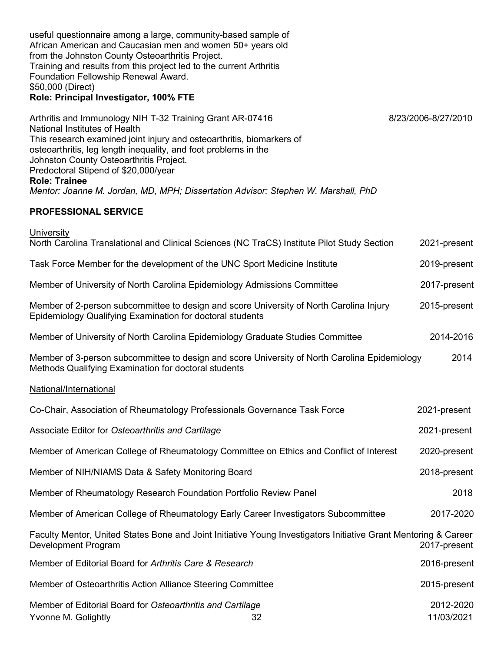useful questionnaire among a large, community-based sample of African American and Caucasian men and women 50+ years old from the Johnston County Osteoarthritis Project. Training and results from this project led to the current Arthritis Foundation Fellowship Renewal Award. \$50,000 (Direct) **Role: Principal Investigator, 100% FTE** Arthritis and Immunology NIH T-32 Training Grant AR-07416 8/23/2006-8/27/2010 National Institutes of Health This research examined joint injury and osteoarthritis, biomarkers of osteoarthritis, leg length inequality, and foot problems in the Johnston County Osteoarthritis Project. Predoctoral Stipend of \$20,000/year **Role: Trainee** *Mentor: Joanne M. Jordan, MD, MPH; Dissertation Advisor: Stephen W. Marshall, PhD* **PROFESSIONAL SERVICE University** North Carolina Translational and Clinical Sciences (NC TraCS) Institute Pilot Study Section 2021-present Task Force Member for the development of the UNC Sport Medicine Institute 2019-present Member of University of North Carolina Epidemiology Admissions Committee 2017-present Member of 2-person subcommittee to design and score University of North Carolina Injury 2015-present Epidemiology Qualifying Examination for doctoral students Member of University of North Carolina Epidemiology Graduate Studies Committee 2014-2016

Member of 3-person subcommittee to design and score University of North Carolina Epidemiology 2014 Methods Qualifying Examination for doctoral students

## National/International

| Co-Chair, Association of Rheumatology Professionals Governance Task Force                                                              |    | 2021-present            |
|----------------------------------------------------------------------------------------------------------------------------------------|----|-------------------------|
| Associate Editor for Osteoarthritis and Cartilage                                                                                      |    | 2021-present            |
| Member of American College of Rheumatology Committee on Ethics and Conflict of Interest                                                |    | 2020-present            |
| Member of NIH/NIAMS Data & Safety Monitoring Board                                                                                     |    | 2018-present            |
| Member of Rheumatology Research Foundation Portfolio Review Panel                                                                      |    | 2018                    |
| Member of American College of Rheumatology Early Career Investigators Subcommittee                                                     |    | 2017-2020               |
| Faculty Mentor, United States Bone and Joint Initiative Young Investigators Initiative Grant Mentoring & Career<br>Development Program |    | 2017-present            |
| Member of Editorial Board for Arthritis Care & Research                                                                                |    | 2016-present            |
| Member of Osteoarthritis Action Alliance Steering Committee                                                                            |    | 2015-present            |
| Member of Editorial Board for Osteoarthritis and Cartilage<br>Yvonne M. Golightly                                                      | 32 | 2012-2020<br>11/03/2021 |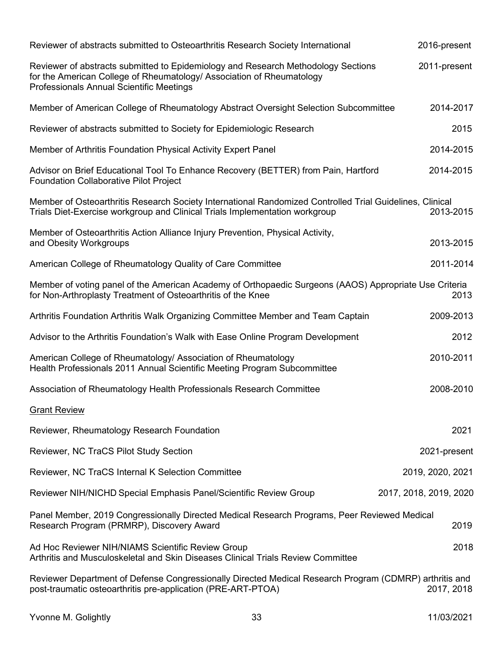| Reviewer of abstracts submitted to Osteoarthritis Research Society International                                                                                                                              | 2016-present           |
|---------------------------------------------------------------------------------------------------------------------------------------------------------------------------------------------------------------|------------------------|
| Reviewer of abstracts submitted to Epidemiology and Research Methodology Sections<br>for the American College of Rheumatology/ Association of Rheumatology<br><b>Professionals Annual Scientific Meetings</b> | 2011-present           |
| Member of American College of Rheumatology Abstract Oversight Selection Subcommittee                                                                                                                          | 2014-2017              |
| Reviewer of abstracts submitted to Society for Epidemiologic Research                                                                                                                                         | 2015                   |
| Member of Arthritis Foundation Physical Activity Expert Panel                                                                                                                                                 | 2014-2015              |
| Advisor on Brief Educational Tool To Enhance Recovery (BETTER) from Pain, Hartford<br><b>Foundation Collaborative Pilot Project</b>                                                                           | 2014-2015              |
| Member of Osteoarthritis Research Society International Randomized Controlled Trial Guidelines, Clinical<br>Trials Diet-Exercise workgroup and Clinical Trials Implementation workgroup                       | 2013-2015              |
| Member of Osteoarthritis Action Alliance Injury Prevention, Physical Activity,<br>and Obesity Workgroups                                                                                                      | 2013-2015              |
| American College of Rheumatology Quality of Care Committee                                                                                                                                                    | 2011-2014              |
| Member of voting panel of the American Academy of Orthopaedic Surgeons (AAOS) Appropriate Use Criteria<br>for Non-Arthroplasty Treatment of Osteoarthritis of the Knee                                        | 2013                   |
| Arthritis Foundation Arthritis Walk Organizing Committee Member and Team Captain                                                                                                                              | 2009-2013              |
| Advisor to the Arthritis Foundation's Walk with Ease Online Program Development                                                                                                                               | 2012                   |
| American College of Rheumatology/ Association of Rheumatology<br>Health Professionals 2011 Annual Scientific Meeting Program Subcommittee                                                                     | 2010-2011              |
| Association of Rheumatology Health Professionals Research Committee                                                                                                                                           | 2008-2010              |
| <b>Grant Review</b>                                                                                                                                                                                           |                        |
| Reviewer, Rheumatology Research Foundation                                                                                                                                                                    | 2021                   |
| Reviewer, NC TraCS Pilot Study Section                                                                                                                                                                        | 2021-present           |
| Reviewer, NC TraCS Internal K Selection Committee                                                                                                                                                             | 2019, 2020, 2021       |
| Reviewer NIH/NICHD Special Emphasis Panel/Scientific Review Group                                                                                                                                             | 2017, 2018, 2019, 2020 |
| Panel Member, 2019 Congressionally Directed Medical Research Programs, Peer Reviewed Medical<br>Research Program (PRMRP), Discovery Award                                                                     | 2019                   |
| Ad Hoc Reviewer NIH/NIAMS Scientific Review Group<br>Arthritis and Musculoskeletal and Skin Diseases Clinical Trials Review Committee                                                                         | 2018                   |
| Reviewer Department of Defense Congressionally Directed Medical Research Program (CDMRP) arthritis and<br>post-traumatic osteoarthritis pre-application (PRE-ART-PTOA)                                        | 2017, 2018             |